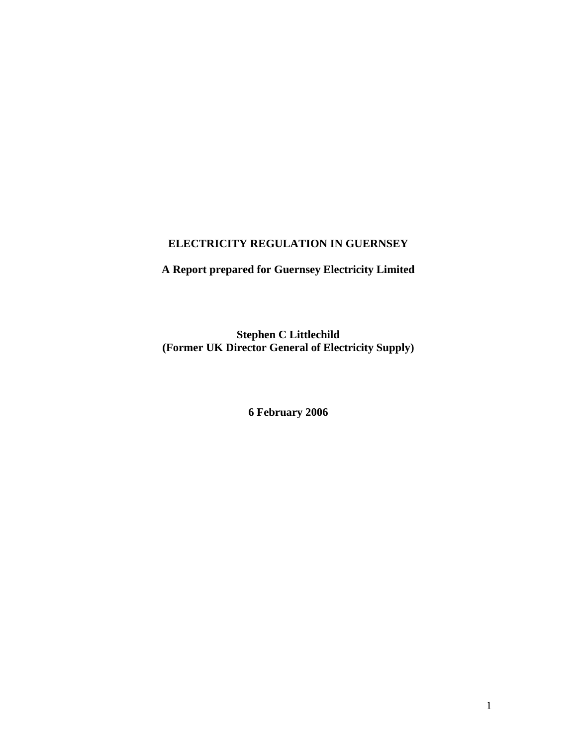# **ELECTRICITY REGULATION IN GUERNSEY**

# **A Report prepared for Guernsey Electricity Limited**

**Stephen C Littlechild (Former UK Director General of Electricity Supply)** 

**6 February 2006**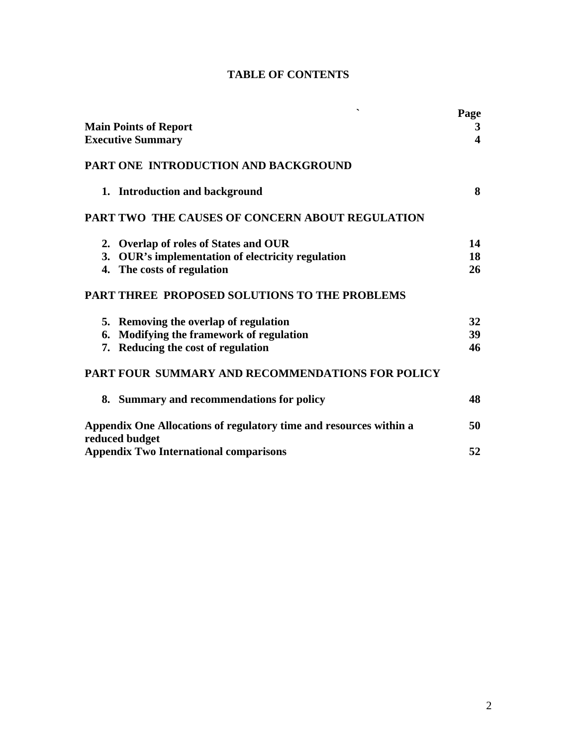| <b>TABLE OF CONTENTS</b> |
|--------------------------|
|                          |

| $\overline{\phantom{0}}$                                                             | Page             |
|--------------------------------------------------------------------------------------|------------------|
| <b>Main Points of Report</b>                                                         | 3                |
| <b>Executive Summary</b>                                                             | $\blacktriangle$ |
| PART ONE INTRODUCTION AND BACKGROUND                                                 |                  |
| 1. Introduction and background                                                       | 8                |
| <b>PART TWO THE CAUSES OF CONCERN ABOUT REGULATION</b>                               |                  |
| 2. Overlap of roles of States and OUR                                                | 14               |
| 3. OUR's implementation of electricity regulation                                    | 18               |
| 4. The costs of regulation                                                           | 26               |
| PART THREE PROPOSED SOLUTIONS TO THE PROBLEMS                                        |                  |
| 5. Removing the overlap of regulation                                                | 32               |
| 6. Modifying the framework of regulation                                             | 39               |
| 7. Reducing the cost of regulation                                                   | 46               |
| <b>PART FOUR SUMMARY AND RECOMMENDATIONS FOR POLICY</b>                              |                  |
| 8. Summary and recommendations for policy                                            | 48               |
| Appendix One Allocations of regulatory time and resources within a<br>reduced budget | 50               |
| <b>Appendix Two International comparisons</b>                                        | 52               |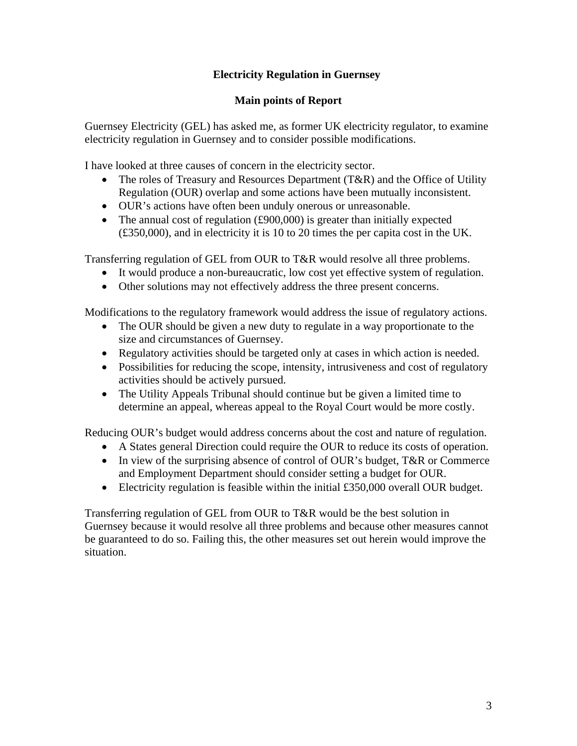# **Electricity Regulation in Guernsey**

## **Main points of Report**

Guernsey Electricity (GEL) has asked me, as former UK electricity regulator, to examine electricity regulation in Guernsey and to consider possible modifications.

I have looked at three causes of concern in the electricity sector.

- The roles of Treasury and Resources Department (T&R) and the Office of Utility Regulation (OUR) overlap and some actions have been mutually inconsistent.
- OUR's actions have often been unduly onerous or unreasonable.
- The annual cost of regulation (£900,000) is greater than initially expected (£350,000), and in electricity it is 10 to 20 times the per capita cost in the UK.

Transferring regulation of GEL from OUR to T&R would resolve all three problems.

- It would produce a non-bureaucratic, low cost yet effective system of regulation.
- Other solutions may not effectively address the three present concerns.

Modifications to the regulatory framework would address the issue of regulatory actions.

- The OUR should be given a new duty to regulate in a way proportionate to the size and circumstances of Guernsey.
- Regulatory activities should be targeted only at cases in which action is needed.
- Possibilities for reducing the scope, intensity, intrusiveness and cost of regulatory activities should be actively pursued.
- The Utility Appeals Tribunal should continue but be given a limited time to determine an appeal, whereas appeal to the Royal Court would be more costly.

Reducing OUR's budget would address concerns about the cost and nature of regulation.

- A States general Direction could require the OUR to reduce its costs of operation.
- In view of the surprising absence of control of OUR's budget, T&R or Commerce and Employment Department should consider setting a budget for OUR.
- Electricity regulation is feasible within the initial £350,000 overall OUR budget.

Transferring regulation of GEL from OUR to T&R would be the best solution in Guernsey because it would resolve all three problems and because other measures cannot be guaranteed to do so. Failing this, the other measures set out herein would improve the situation.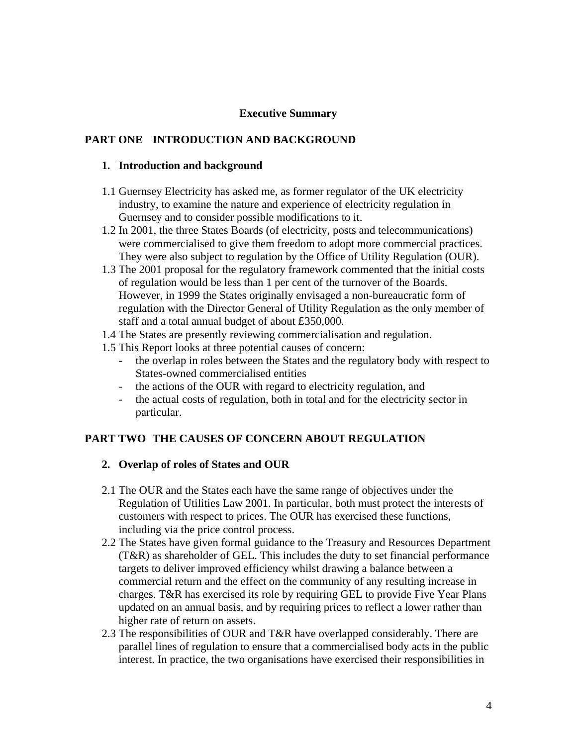#### **Executive Summary**

### **PART ONE INTRODUCTION AND BACKGROUND**

#### **1. Introduction and background**

- 1.1 Guernsey Electricity has asked me, as former regulator of the UK electricity industry, to examine the nature and experience of electricity regulation in Guernsey and to consider possible modifications to it.
- 1.2 In 2001, the three States Boards (of electricity, posts and telecommunications) were commercialised to give them freedom to adopt more commercial practices. They were also subject to regulation by the Office of Utility Regulation (OUR).
- 1.3 The 2001 proposal for the regulatory framework commented that the initial costs of regulation would be less than 1 per cent of the turnover of the Boards. However, in 1999 the States originally envisaged a non-bureaucratic form of regulation with the Director General of Utility Regulation as the only member of staff and a total annual budget of about £350,000.
- 1.4 The States are presently reviewing commercialisation and regulation.
- 1.5 This Report looks at three potential causes of concern:
	- the overlap in roles between the States and the regulatory body with respect to States-owned commercialised entities
	- the actions of the OUR with regard to electricity regulation, and
	- the actual costs of regulation, both in total and for the electricity sector in particular.

## **PART TWO THE CAUSES OF CONCERN ABOUT REGULATION**

#### **2. Overlap of roles of States and OUR**

- 2.1 The OUR and the States each have the same range of objectives under the Regulation of Utilities Law 2001. In particular, both must protect the interests of customers with respect to prices. The OUR has exercised these functions, including via the price control process.
- 2.2 The States have given formal guidance to the Treasury and Resources Department (T&R) as shareholder of GEL. This includes the duty to set financial performance targets to deliver improved efficiency whilst drawing a balance between a commercial return and the effect on the community of any resulting increase in charges. T&R has exercised its role by requiring GEL to provide Five Year Plans updated on an annual basis, and by requiring prices to reflect a lower rather than higher rate of return on assets.
- 2.3 The responsibilities of OUR and T&R have overlapped considerably. There are parallel lines of regulation to ensure that a commercialised body acts in the public interest. In practice, the two organisations have exercised their responsibilities in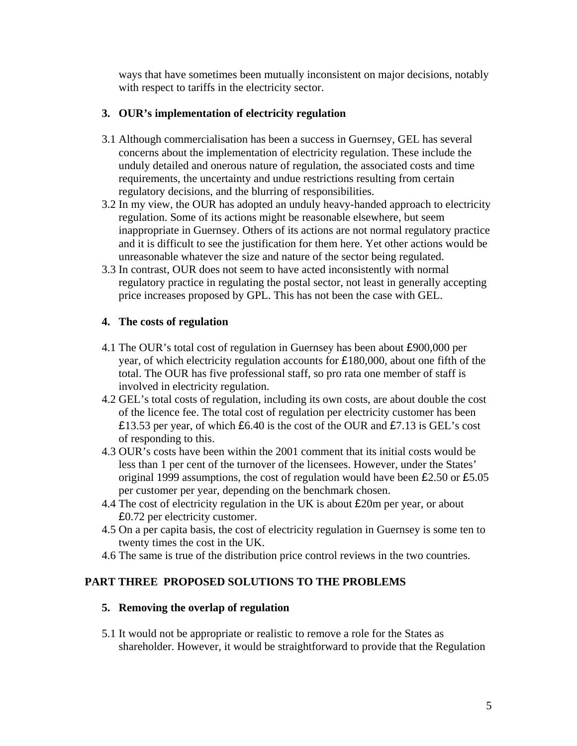ways that have sometimes been mutually inconsistent on major decisions, notably with respect to tariffs in the electricity sector.

## **3. OUR's implementation of electricity regulation**

- 3.1 Although commercialisation has been a success in Guernsey, GEL has several concerns about the implementation of electricity regulation. These include the unduly detailed and onerous nature of regulation, the associated costs and time requirements, the uncertainty and undue restrictions resulting from certain regulatory decisions, and the blurring of responsibilities.
- 3.2 In my view, the OUR has adopted an unduly heavy-handed approach to electricity regulation. Some of its actions might be reasonable elsewhere, but seem inappropriate in Guernsey. Others of its actions are not normal regulatory practice and it is difficult to see the justification for them here. Yet other actions would be unreasonable whatever the size and nature of the sector being regulated.
- 3.3 In contrast, OUR does not seem to have acted inconsistently with normal regulatory practice in regulating the postal sector, not least in generally accepting price increases proposed by GPL. This has not been the case with GEL.

## **4. The costs of regulation**

- 4.1 The OUR's total cost of regulation in Guernsey has been about £900,000 per year, of which electricity regulation accounts for £180,000, about one fifth of the total. The OUR has five professional staff, so pro rata one member of staff is involved in electricity regulation.
- 4.2 GEL's total costs of regulation, including its own costs, are about double the cost of the licence fee. The total cost of regulation per electricity customer has been £13.53 per year, of which £6.40 is the cost of the OUR and £7.13 is GEL's cost of responding to this.
- 4.3 OUR's costs have been within the 2001 comment that its initial costs would be less than 1 per cent of the turnover of the licensees. However, under the States' original 1999 assumptions, the cost of regulation would have been £2.50 or £5.05 per customer per year, depending on the benchmark chosen.
- 4.4 The cost of electricity regulation in the UK is about £20m per year, or about £0.72 per electricity customer.
- 4.5 On a per capita basis, the cost of electricity regulation in Guernsey is some ten to twenty times the cost in the UK.
- 4.6 The same is true of the distribution price control reviews in the two countries.

# **PART THREE PROPOSED SOLUTIONS TO THE PROBLEMS**

## **5. Removing the overlap of regulation**

5.1 It would not be appropriate or realistic to remove a role for the States as shareholder. However, it would be straightforward to provide that the Regulation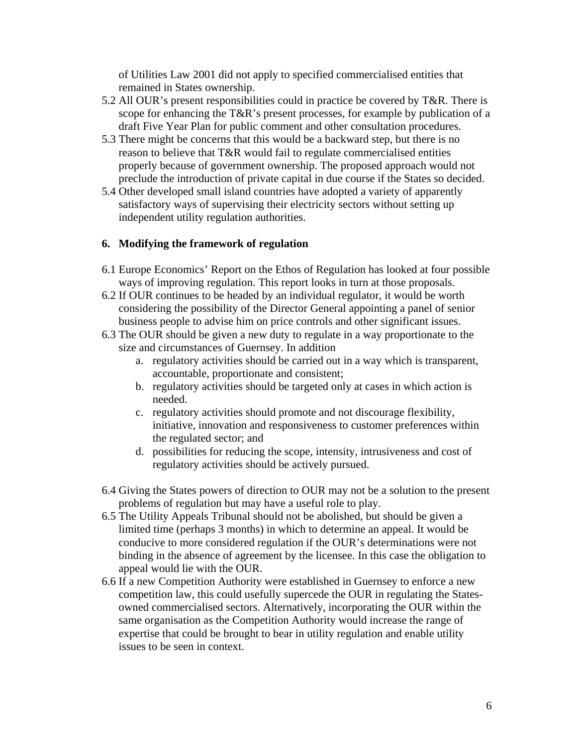of Utilities Law 2001 did not apply to specified commercialised entities that remained in States ownership.

- 5.2 All OUR's present responsibilities could in practice be covered by T&R. There is scope for enhancing the T&R's present processes, for example by publication of a draft Five Year Plan for public comment and other consultation procedures.
- 5.3 There might be concerns that this would be a backward step, but there is no reason to believe that T&R would fail to regulate commercialised entities properly because of government ownership. The proposed approach would not preclude the introduction of private capital in due course if the States so decided.
- 5.4 Other developed small island countries have adopted a variety of apparently satisfactory ways of supervising their electricity sectors without setting up independent utility regulation authorities.

## **6. Modifying the framework of regulation**

- 6.1 Europe Economics' Report on the Ethos of Regulation has looked at four possible ways of improving regulation. This report looks in turn at those proposals.
- 6.2 If OUR continues to be headed by an individual regulator, it would be worth considering the possibility of the Director General appointing a panel of senior business people to advise him on price controls and other significant issues.
- 6.3 The OUR should be given a new duty to regulate in a way proportionate to the size and circumstances of Guernsey. In addition
	- a. regulatory activities should be carried out in a way which is transparent, accountable, proportionate and consistent;
	- b. regulatory activities should be targeted only at cases in which action is needed.
	- c. regulatory activities should promote and not discourage flexibility, initiative, innovation and responsiveness to customer preferences within the regulated sector; and
	- d. possibilities for reducing the scope, intensity, intrusiveness and cost of regulatory activities should be actively pursued.
- 6.4 Giving the States powers of direction to OUR may not be a solution to the present problems of regulation but may have a useful role to play.
- 6.5 The Utility Appeals Tribunal should not be abolished, but should be given a limited time (perhaps 3 months) in which to determine an appeal. It would be conducive to more considered regulation if the OUR's determinations were not binding in the absence of agreement by the licensee. In this case the obligation to appeal would lie with the OUR.
- 6.6 If a new Competition Authority were established in Guernsey to enforce a new competition law, this could usefully supercede the OUR in regulating the Statesowned commercialised sectors. Alternatively, incorporating the OUR within the same organisation as the Competition Authority would increase the range of expertise that could be brought to bear in utility regulation and enable utility issues to be seen in context.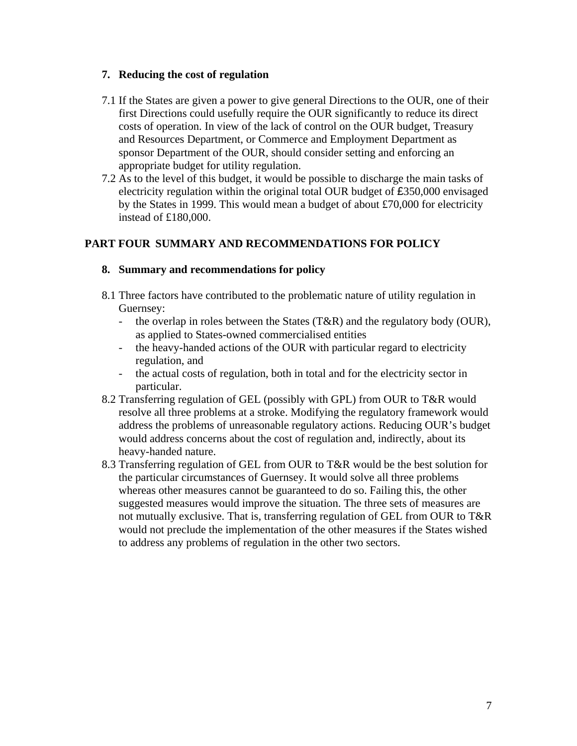## **7. Reducing the cost of regulation**

- 7.1 If the States are given a power to give general Directions to the OUR, one of their first Directions could usefully require the OUR significantly to reduce its direct costs of operation. In view of the lack of control on the OUR budget, Treasury and Resources Department, or Commerce and Employment Department as sponsor Department of the OUR, should consider setting and enforcing an appropriate budget for utility regulation.
- 7.2 As to the level of this budget, it would be possible to discharge the main tasks of electricity regulation within the original total OUR budget of £350,000 envisaged by the States in 1999. This would mean a budget of about £70,000 for electricity instead of £180,000.

# **PART FOUR SUMMARY AND RECOMMENDATIONS FOR POLICY**

### **8. Summary and recommendations for policy**

- 8.1 Three factors have contributed to the problematic nature of utility regulation in Guernsey:
	- the overlap in roles between the States (T&R) and the regulatory body (OUR), as applied to States-owned commercialised entities
	- the heavy-handed actions of the OUR with particular regard to electricity regulation, and
	- the actual costs of regulation, both in total and for the electricity sector in particular.
- 8.2 Transferring regulation of GEL (possibly with GPL) from OUR to T&R would resolve all three problems at a stroke. Modifying the regulatory framework would address the problems of unreasonable regulatory actions. Reducing OUR's budget would address concerns about the cost of regulation and, indirectly, about its heavy-handed nature.
- 8.3 Transferring regulation of GEL from OUR to T&R would be the best solution for the particular circumstances of Guernsey. It would solve all three problems whereas other measures cannot be guaranteed to do so. Failing this, the other suggested measures would improve the situation. The three sets of measures are not mutually exclusive. That is, transferring regulation of GEL from OUR to T&R would not preclude the implementation of the other measures if the States wished to address any problems of regulation in the other two sectors.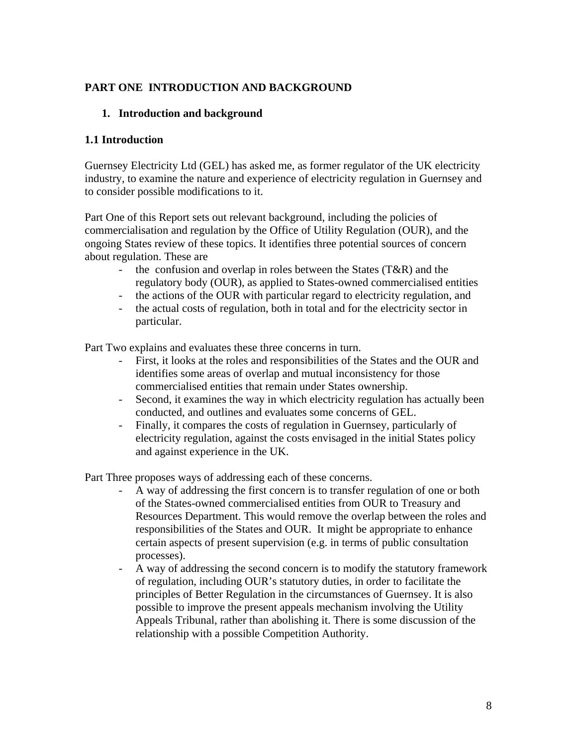## **PART ONE INTRODUCTION AND BACKGROUND**

### **1. Introduction and background**

### **1.1 Introduction**

Guernsey Electricity Ltd (GEL) has asked me, as former regulator of the UK electricity industry, to examine the nature and experience of electricity regulation in Guernsey and to consider possible modifications to it.

Part One of this Report sets out relevant background, including the policies of commercialisation and regulation by the Office of Utility Regulation (OUR), and the ongoing States review of these topics. It identifies three potential sources of concern about regulation. These are

- the confusion and overlap in roles between the States (T&R) and the regulatory body (OUR), as applied to States-owned commercialised entities
- the actions of the OUR with particular regard to electricity regulation, and
- the actual costs of regulation, both in total and for the electricity sector in particular.

Part Two explains and evaluates these three concerns in turn.

- First, it looks at the roles and responsibilities of the States and the OUR and identifies some areas of overlap and mutual inconsistency for those commercialised entities that remain under States ownership.
- Second, it examines the way in which electricity regulation has actually been conducted, and outlines and evaluates some concerns of GEL.
- Finally, it compares the costs of regulation in Guernsey, particularly of electricity regulation, against the costs envisaged in the initial States policy and against experience in the UK.

Part Three proposes ways of addressing each of these concerns.

- A way of addressing the first concern is to transfer regulation of one or both of the States-owned commercialised entities from OUR to Treasury and Resources Department. This would remove the overlap between the roles and responsibilities of the States and OUR. It might be appropriate to enhance certain aspects of present supervision (e.g. in terms of public consultation processes).
- A way of addressing the second concern is to modify the statutory framework of regulation, including OUR's statutory duties, in order to facilitate the principles of Better Regulation in the circumstances of Guernsey. It is also possible to improve the present appeals mechanism involving the Utility Appeals Tribunal, rather than abolishing it. There is some discussion of the relationship with a possible Competition Authority.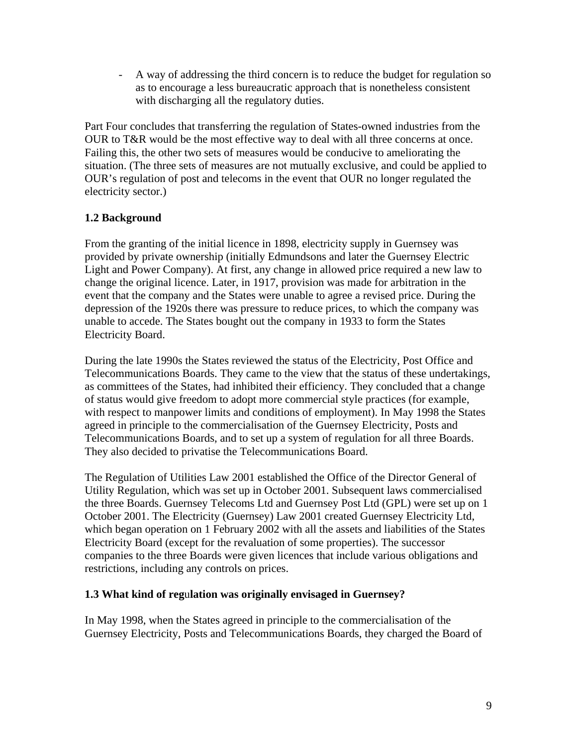- A way of addressing the third concern is to reduce the budget for regulation so as to encourage a less bureaucratic approach that is nonetheless consistent with discharging all the regulatory duties.

Part Four concludes that transferring the regulation of States-owned industries from the OUR to T&R would be the most effective way to deal with all three concerns at once. Failing this, the other two sets of measures would be conducive to ameliorating the situation. (The three sets of measures are not mutually exclusive, and could be applied to OUR's regulation of post and telecoms in the event that OUR no longer regulated the electricity sector.)

# **1.2 Background**

From the granting of the initial licence in 1898, electricity supply in Guernsey was provided by private ownership (initially Edmundsons and later the Guernsey Electric Light and Power Company). At first, any change in allowed price required a new law to change the original licence. Later, in 1917, provision was made for arbitration in the event that the company and the States were unable to agree a revised price. During the depression of the 1920s there was pressure to reduce prices, to which the company was unable to accede. The States bought out the company in 1933 to form the States Electricity Board.

During the late 1990s the States reviewed the status of the Electricity, Post Office and Telecommunications Boards. They came to the view that the status of these undertakings, as committees of the States, had inhibited their efficiency. They concluded that a change of status would give freedom to adopt more commercial style practices (for example, with respect to manpower limits and conditions of employment). In May 1998 the States agreed in principle to the commercialisation of the Guernsey Electricity, Posts and Telecommunications Boards, and to set up a system of regulation for all three Boards. They also decided to privatise the Telecommunications Board.

The Regulation of Utilities Law 2001 established the Office of the Director General of Utility Regulation, which was set up in October 2001. Subsequent laws commercialised the three Boards. Guernsey Telecoms Ltd and Guernsey Post Ltd (GPL) were set up on 1 October 2001. The Electricity (Guernsey) Law 2001 created Guernsey Electricity Ltd, which began operation on 1 February 2002 with all the assets and liabilities of the States Electricity Board (except for the revaluation of some properties). The successor companies to the three Boards were given licences that include various obligations and restrictions, including any controls on prices.

## **1.3 What kind of reg**u**lation was originally envisaged in Guernsey?**

In May 1998, when the States agreed in principle to the commercialisation of the Guernsey Electricity, Posts and Telecommunications Boards, they charged the Board of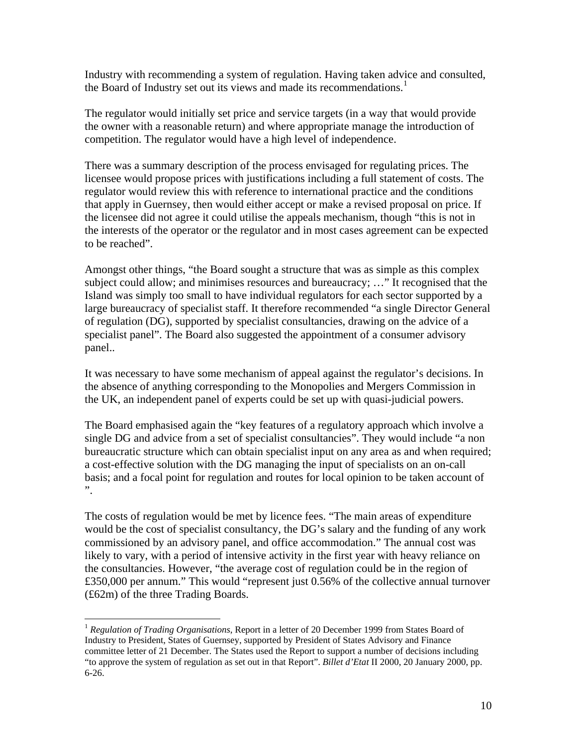Industry with recommending a system of regulation. Having taken advice and consulted, the Board of Industry set out its views and made its recommendations.<sup>[1](#page-9-0)</sup>

The regulator would initially set price and service targets (in a way that would provide the owner with a reasonable return) and where appropriate manage the introduction of competition. The regulator would have a high level of independence.

There was a summary description of the process envisaged for regulating prices. The licensee would propose prices with justifications including a full statement of costs. The regulator would review this with reference to international practice and the conditions that apply in Guernsey, then would either accept or make a revised proposal on price. If the licensee did not agree it could utilise the appeals mechanism, though "this is not in the interests of the operator or the regulator and in most cases agreement can be expected to be reached".

Amongst other things, "the Board sought a structure that was as simple as this complex subject could allow; and minimises resources and bureaucracy; …" It recognised that the Island was simply too small to have individual regulators for each sector supported by a large bureaucracy of specialist staff. It therefore recommended "a single Director General of regulation (DG), supported by specialist consultancies, drawing on the advice of a specialist panel". The Board also suggested the appointment of a consumer advisory panel..

It was necessary to have some mechanism of appeal against the regulator's decisions. In the absence of anything corresponding to the Monopolies and Mergers Commission in the UK, an independent panel of experts could be set up with quasi-judicial powers.

The Board emphasised again the "key features of a regulatory approach which involve a single DG and advice from a set of specialist consultancies". They would include "a non bureaucratic structure which can obtain specialist input on any area as and when required; a cost-effective solution with the DG managing the input of specialists on an on-call basis; and a focal point for regulation and routes for local opinion to be taken account of ".

The costs of regulation would be met by licence fees. "The main areas of expenditure would be the cost of specialist consultancy, the DG's salary and the funding of any work commissioned by an advisory panel, and office accommodation." The annual cost was likely to vary, with a period of intensive activity in the first year with heavy reliance on the consultancies. However, "the average cost of regulation could be in the region of £350,000 per annum." This would "represent just 0.56% of the collective annual turnover (£62m) of the three Trading Boards.

<span id="page-9-0"></span><sup>1</sup> *Regulation of Trading Organisations*, Report in a letter of 20 December 1999 from States Board of Industry to President, States of Guernsey, supported by President of States Advisory and Finance committee letter of 21 December. The States used the Report to support a number of decisions including "to approve the system of regulation as set out in that Report". *Billet d'Etat* II 2000, 20 January 2000, pp. 6-26.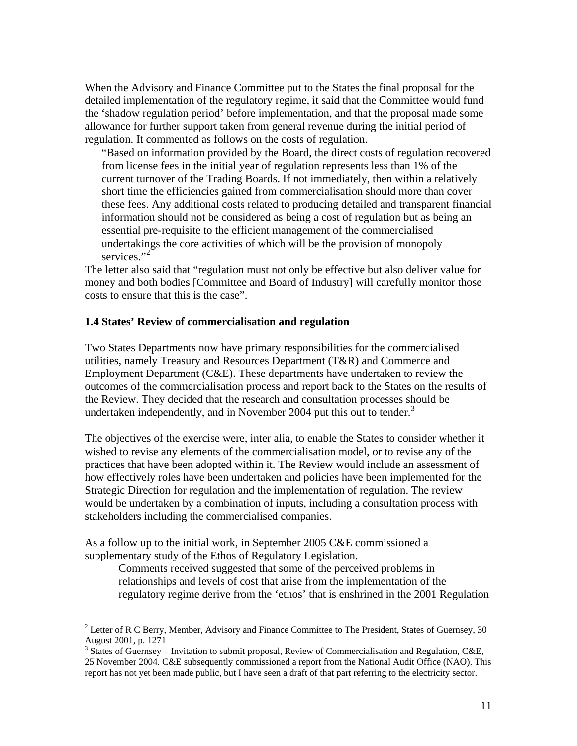When the Advisory and Finance Committee put to the States the final proposal for the detailed implementation of the regulatory regime, it said that the Committee would fund the 'shadow regulation period' before implementation, and that the proposal made some allowance for further support taken from general revenue during the initial period of regulation. It commented as follows on the costs of regulation.

"Based on information provided by the Board, the direct costs of regulation recovered from license fees in the initial year of regulation represents less than 1% of the current turnover of the Trading Boards. If not immediately, then within a relatively short time the efficiencies gained from commercialisation should more than cover these fees. Any additional costs related to producing detailed and transparent financial information should not be considered as being a cost of regulation but as being an essential pre-requisite to the efficient management of the commercialised undertakings the core activities of which will be the provision of monopoly services<sup>"[2](#page-10-0)</sup>

The letter also said that "regulation must not only be effective but also deliver value for money and both bodies [Committee and Board of Industry] will carefully monitor those costs to ensure that this is the case".

#### **1.4 States' Review of commercialisation and regulation**

Two States Departments now have primary responsibilities for the commercialised utilities, namely Treasury and Resources Department (T&R) and Commerce and Employment Department (C&E). These departments have undertaken to review the outcomes of the commercialisation process and report back to the States on the results of the Review. They decided that the research and consultation processes should be undertaken independently, and in November 2004 put this out to tender. $3$ 

The objectives of the exercise were, inter alia, to enable the States to consider whether it wished to revise any elements of the commercialisation model, or to revise any of the practices that have been adopted within it. The Review would include an assessment of how effectively roles have been undertaken and policies have been implemented for the Strategic Direction for regulation and the implementation of regulation. The review would be undertaken by a combination of inputs, including a consultation process with stakeholders including the commercialised companies.

As a follow up to the initial work, in September 2005 C&E commissioned a supplementary study of the Ethos of Regulatory Legislation.

 $\overline{a}$ 

Comments received suggested that some of the perceived problems in relationships and levels of cost that arise from the implementation of the regulatory regime derive from the 'ethos' that is enshrined in the 2001 Regulation

<span id="page-10-0"></span><sup>&</sup>lt;sup>2</sup> Letter of R C Berry, Member, Advisory and Finance Committee to The President, States of Guernsey, 30 August 2001, p. 1271

<span id="page-10-1"></span><sup>&</sup>lt;sup>3</sup> States of Guernsey – Invitation to submit proposal, Review of Commercialisation and Regulation, C&E, 25 November 2004. C&E subsequently commissioned a report from the National Audit Office (NAO). This report has not yet been made public, but I have seen a draft of that part referring to the electricity sector.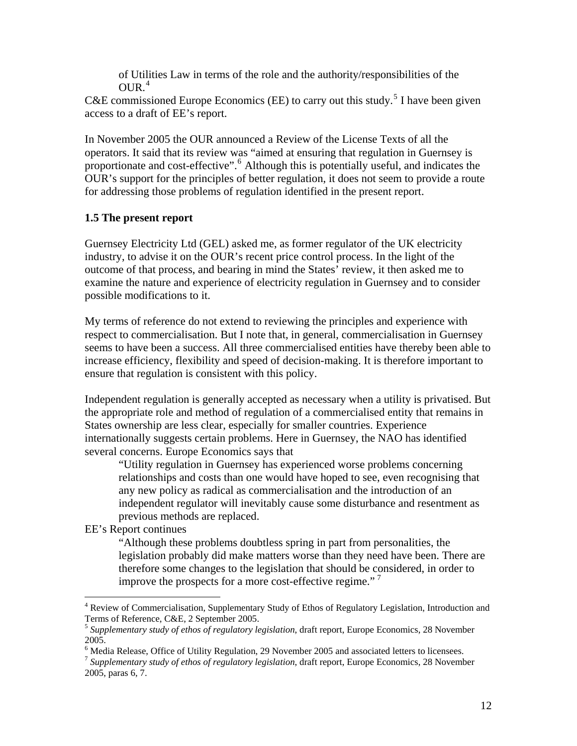of Utilities Law in terms of the role and the authority/responsibilities of the  $OUR<sup>4</sup>$  $OUR<sup>4</sup>$  $OUR<sup>4</sup>$ 

C&E commissioned Europe Economics (EE) to carry out this study.<sup>[5](#page-11-1)</sup> I have been given access to a draft of EE's report.

In November 2005 the OUR announced a Review of the License Texts of all the operators. It said that its review was "aimed at ensuring that regulation in Guernsey is proportionate and cost-effective".<sup>[6](#page-11-2)</sup> Although this is potentially useful, and indicates the OUR's support for the principles of better regulation, it does not seem to provide a route for addressing those problems of regulation identified in the present report.

## **1.5 The present report**

Guernsey Electricity Ltd (GEL) asked me, as former regulator of the UK electricity industry, to advise it on the OUR's recent price control process. In the light of the outcome of that process, and bearing in mind the States' review, it then asked me to examine the nature and experience of electricity regulation in Guernsey and to consider possible modifications to it.

My terms of reference do not extend to reviewing the principles and experience with respect to commercialisation. But I note that, in general, commercialisation in Guernsey seems to have been a success. All three commercialised entities have thereby been able to increase efficiency, flexibility and speed of decision-making. It is therefore important to ensure that regulation is consistent with this policy.

Independent regulation is generally accepted as necessary when a utility is privatised. But the appropriate role and method of regulation of a commercialised entity that remains in States ownership are less clear, especially for smaller countries. Experience internationally suggests certain problems. Here in Guernsey, the NAO has identified several concerns. Europe Economics says that

"Utility regulation in Guernsey has experienced worse problems concerning relationships and costs than one would have hoped to see, even recognising that any new policy as radical as commercialisation and the introduction of an independent regulator will inevitably cause some disturbance and resentment as previous methods are replaced.

EE's Report continues

 $\overline{a}$ 

"Although these problems doubtless spring in part from personalities, the legislation probably did make matters worse than they need have been. There are therefore some changes to the legislation that should be considered, in order to improve the prospects for a more cost-effective regime."<sup>[7](#page-11-3)</sup>

<span id="page-11-0"></span><sup>&</sup>lt;sup>4</sup> Review of Commercialisation, Supplementary Study of Ethos of Regulatory Legislation, Introduction and Terms of Reference, C&E, 2 September 2005.

<span id="page-11-1"></span><sup>5</sup> *Supplementary study of ethos of regulatory legislation*, draft report, Europe Economics, 28 November 2005.

<span id="page-11-2"></span><sup>&</sup>lt;sup>6</sup> Media Release, Office of Utility Regulation, 29 November 2005 and associated letters to licensees.

<span id="page-11-3"></span><sup>7</sup> *Supplementary study of ethos of regulatory legislation*, draft report, Europe Economics, 28 November 2005, paras 6, 7.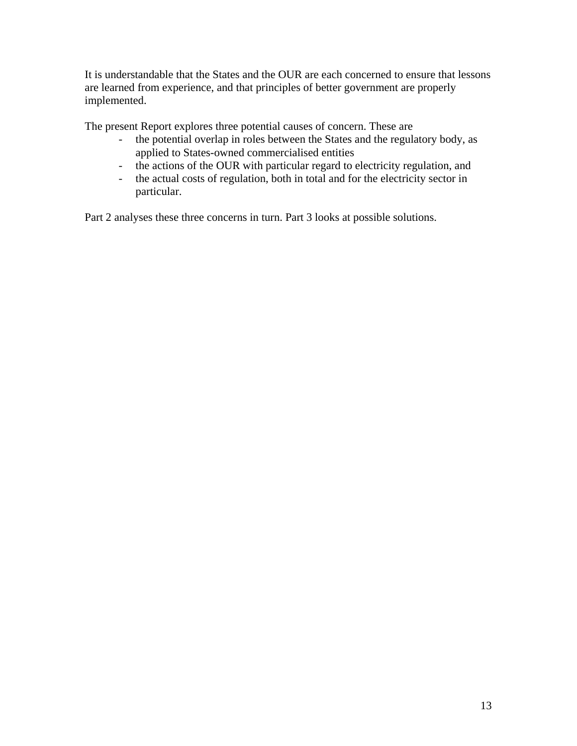It is understandable that the States and the OUR are each concerned to ensure that lessons are learned from experience, and that principles of better government are properly implemented.

The present Report explores three potential causes of concern. These are

- the potential overlap in roles between the States and the regulatory body, as applied to States-owned commercialised entities
- the actions of the OUR with particular regard to electricity regulation, and
- the actual costs of regulation, both in total and for the electricity sector in particular.

Part 2 analyses these three concerns in turn. Part 3 looks at possible solutions.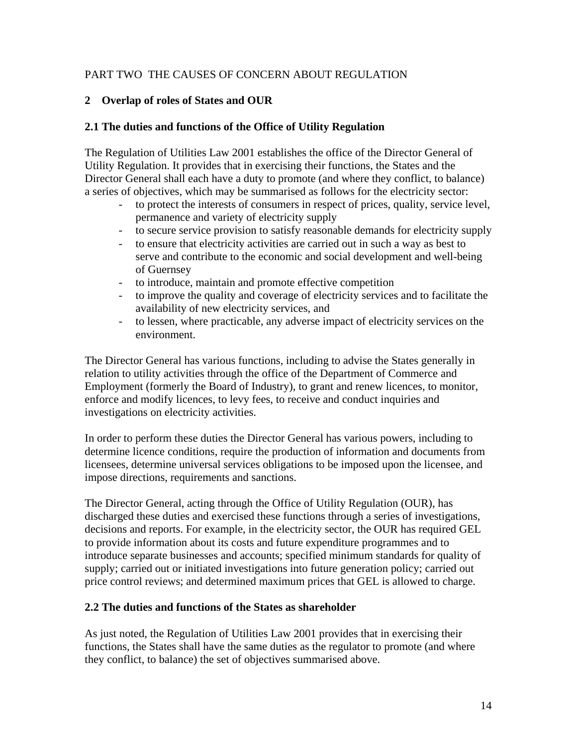## PART TWO THE CAUSES OF CONCERN ABOUT REGULATION

## **2 Overlap of roles of States and OUR**

## **2.1 The duties and functions of the Office of Utility Regulation**

The Regulation of Utilities Law 2001 establishes the office of the Director General of Utility Regulation. It provides that in exercising their functions, the States and the Director General shall each have a duty to promote (and where they conflict, to balance) a series of objectives, which may be summarised as follows for the electricity sector:

- to protect the interests of consumers in respect of prices, quality, service level, permanence and variety of electricity supply
- to secure service provision to satisfy reasonable demands for electricity supply
- to ensure that electricity activities are carried out in such a way as best to serve and contribute to the economic and social development and well-being of Guernsey
- to introduce, maintain and promote effective competition
- to improve the quality and coverage of electricity services and to facilitate the availability of new electricity services, and
- to lessen, where practicable, any adverse impact of electricity services on the environment.

The Director General has various functions, including to advise the States generally in relation to utility activities through the office of the Department of Commerce and Employment (formerly the Board of Industry), to grant and renew licences, to monitor, enforce and modify licences, to levy fees, to receive and conduct inquiries and investigations on electricity activities.

In order to perform these duties the Director General has various powers, including to determine licence conditions, require the production of information and documents from licensees, determine universal services obligations to be imposed upon the licensee, and impose directions, requirements and sanctions.

The Director General, acting through the Office of Utility Regulation (OUR), has discharged these duties and exercised these functions through a series of investigations, decisions and reports. For example, in the electricity sector, the OUR has required GEL to provide information about its costs and future expenditure programmes and to introduce separate businesses and accounts; specified minimum standards for quality of supply; carried out or initiated investigations into future generation policy; carried out price control reviews; and determined maximum prices that GEL is allowed to charge.

## **2.2 The duties and functions of the States as shareholder**

As just noted, the Regulation of Utilities Law 2001 provides that in exercising their functions, the States shall have the same duties as the regulator to promote (and where they conflict, to balance) the set of objectives summarised above.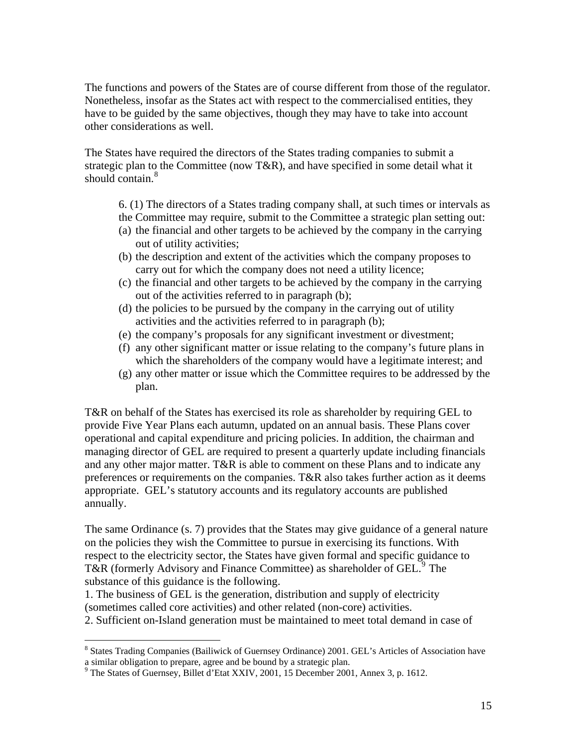The functions and powers of the States are of course different from those of the regulator. Nonetheless, insofar as the States act with respect to the commercialised entities, they have to be guided by the same objectives, though they may have to take into account other considerations as well.

The States have required the directors of the States trading companies to submit a strategic plan to the Committee (now T&R), and have specified in some detail what it should contain.<sup>[8](#page-14-0)</sup>

- 6. (1) The directors of a States trading company shall, at such times or intervals as
- the Committee may require, submit to the Committee a strategic plan setting out:
- (a) the financial and other targets to be achieved by the company in the carrying out of utility activities;
- (b) the description and extent of the activities which the company proposes to carry out for which the company does not need a utility licence;
- (c) the financial and other targets to be achieved by the company in the carrying out of the activities referred to in paragraph (b);
- (d) the policies to be pursued by the company in the carrying out of utility activities and the activities referred to in paragraph (b);
- (e) the company's proposals for any significant investment or divestment;
- (f) any other significant matter or issue relating to the company's future plans in which the shareholders of the company would have a legitimate interest; and
- (g) any other matter or issue which the Committee requires to be addressed by the plan.

T&R on behalf of the States has exercised its role as shareholder by requiring GEL to provide Five Year Plans each autumn, updated on an annual basis. These Plans cover operational and capital expenditure and pricing policies. In addition, the chairman and managing director of GEL are required to present a quarterly update including financials and any other major matter. T&R is able to comment on these Plans and to indicate any preferences or requirements on the companies. T&R also takes further action as it deems appropriate. GEL's statutory accounts and its regulatory accounts are published annually.

The same Ordinance (s. 7) provides that the States may give guidance of a general nature on the policies they wish the Committee to pursue in exercising its functions. With respect to the electricity sector, the States have given formal and specific guidance to T&R (formerly Advisory and Finance Committee) as shareholder of GEL.<sup>[9](#page-14-1)</sup> The substance of this guidance is the following.

1. The business of GEL is the generation, distribution and supply of electricity (sometimes called core activities) and other related (non-core) activities.

2. Sufficient on-Island generation must be maintained to meet total demand in case of

<span id="page-14-0"></span><sup>&</sup>lt;sup>8</sup> States Trading Companies (Bailiwick of Guernsey Ordinance) 2001. GEL's Articles of Association have

<span id="page-14-1"></span>a similar obligation to prepare, agree and be bound by a strategic plan.<br><sup>9</sup> The States of Guernsey, Billet d'Etat XXIV, 2001, 15 December 2001, Annex 3, p. 1612.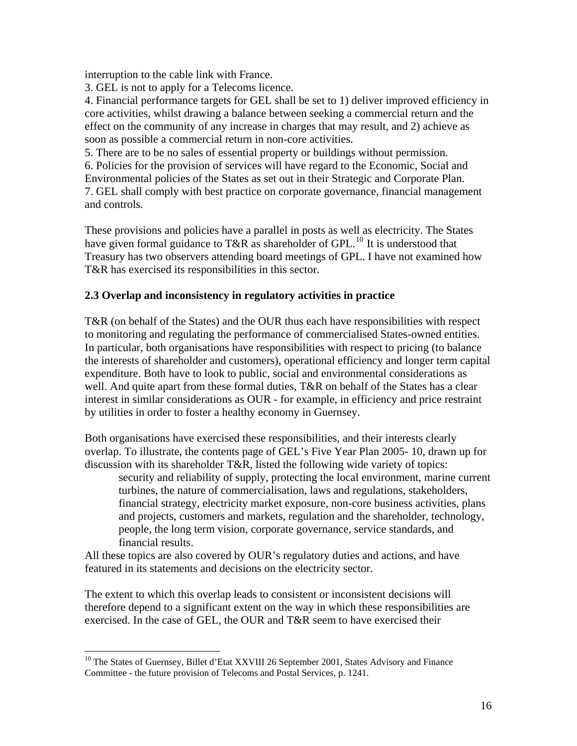interruption to the cable link with France.

3. GEL is not to apply for a Telecoms licence.

4. Financial performance targets for GEL shall be set to 1) deliver improved efficiency in core activities, whilst drawing a balance between seeking a commercial return and the effect on the community of any increase in charges that may result, and 2) achieve as soon as possible a commercial return in non-core activities.

5. There are to be no sales of essential property or buildings without permission.

6. Policies for the provision of services will have regard to the Economic, Social and Environmental policies of the States as set out in their Strategic and Corporate Plan. 7. GEL shall comply with best practice on corporate governance, financial management and controls.

These provisions and policies have a parallel in posts as well as electricity. The States have given formal guidance to T&R as shareholder of GPL.<sup>[10](#page-15-0)</sup> It is understood that Treasury has two observers attending board meetings of GPL. I have not examined how T&R has exercised its responsibilities in this sector.

## **2.3 Overlap and inconsistency in regulatory activities in practice**

T&R (on behalf of the States) and the OUR thus each have responsibilities with respect to monitoring and regulating the performance of commercialised States-owned entities. In particular, both organisations have responsibilities with respect to pricing (to balance the interests of shareholder and customers), operational efficiency and longer term capital expenditure. Both have to look to public, social and environmental considerations as well. And quite apart from these formal duties, T&R on behalf of the States has a clear interest in similar considerations as OUR - for example, in efficiency and price restraint by utilities in order to foster a healthy economy in Guernsey.

Both organisations have exercised these responsibilities, and their interests clearly overlap. To illustrate, the contents page of GEL's Five Year Plan 2005- 10, drawn up for discussion with its shareholder T&R, listed the following wide variety of topics:

security and reliability of supply, protecting the local environment, marine current turbines, the nature of commercialisation, laws and regulations, stakeholders, financial strategy, electricity market exposure, non-core business activities, plans and projects, customers and markets, regulation and the shareholder, technology, people, the long term vision, corporate governance, service standards, and financial results.

All these topics are also covered by OUR's regulatory duties and actions, and have featured in its statements and decisions on the electricity sector.

The extent to which this overlap leads to consistent or inconsistent decisions will therefore depend to a significant extent on the way in which these responsibilities are exercised. In the case of GEL, the OUR and T&R seem to have exercised their

<span id="page-15-0"></span><sup>&</sup>lt;sup>10</sup> The States of Guernsey, Billet d'Etat XXVIII 26 September 2001, States Advisory and Finance Committee - the future provision of Telecoms and Postal Services, p. 1241.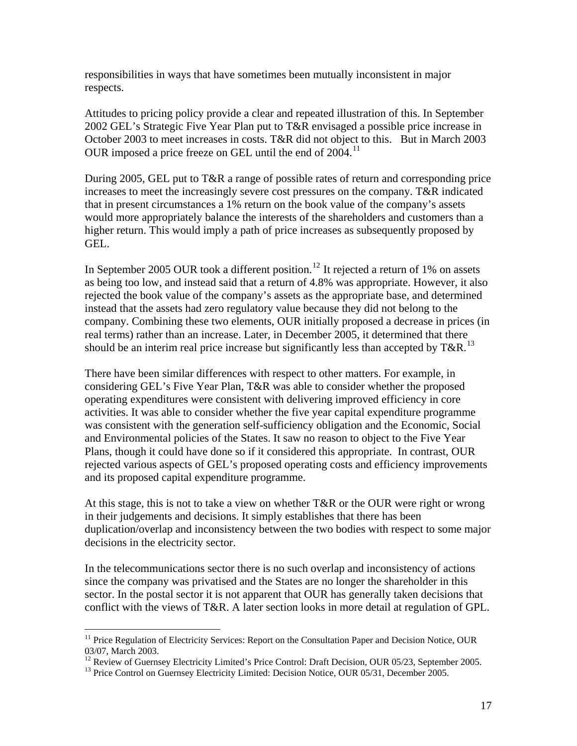responsibilities in ways that have sometimes been mutually inconsistent in major respects.

Attitudes to pricing policy provide a clear and repeated illustration of this. In September 2002 GEL's Strategic Five Year Plan put to T&R envisaged a possible price increase in October 2003 to meet increases in costs. T&R did not object to this. But in March 2003 OUR imposed a price freeze on GEL until the end of  $2004$ .<sup>[11](#page-16-0)</sup>

During 2005, GEL put to T&R a range of possible rates of return and corresponding price increases to meet the increasingly severe cost pressures on the company. T&R indicated that in present circumstances a 1% return on the book value of the company's assets would more appropriately balance the interests of the shareholders and customers than a higher return. This would imply a path of price increases as subsequently proposed by GEL.

In September 2005 OUR took a different position.<sup>[12](#page-16-1)</sup> It rejected a return of 1% on assets as being too low, and instead said that a return of 4.8% was appropriate. However, it also rejected the book value of the company's assets as the appropriate base, and determined instead that the assets had zero regulatory value because they did not belong to the company. Combining these two elements, OUR initially proposed a decrease in prices (in real terms) rather than an increase. Later, in December 2005, it determined that there should be an interim real price increase but significantly less than accepted by  $T\&R$ <sup>[13](#page-16-2)</sup>

There have been similar differences with respect to other matters. For example, in considering GEL's Five Year Plan, T&R was able to consider whether the proposed operating expenditures were consistent with delivering improved efficiency in core activities. It was able to consider whether the five year capital expenditure programme was consistent with the generation self-sufficiency obligation and the Economic, Social and Environmental policies of the States. It saw no reason to object to the Five Year Plans, though it could have done so if it considered this appropriate. In contrast, OUR rejected various aspects of GEL's proposed operating costs and efficiency improvements and its proposed capital expenditure programme.

At this stage, this is not to take a view on whether T&R or the OUR were right or wrong in their judgements and decisions. It simply establishes that there has been duplication/overlap and inconsistency between the two bodies with respect to some major decisions in the electricity sector.

In the telecommunications sector there is no such overlap and inconsistency of actions since the company was privatised and the States are no longer the shareholder in this sector. In the postal sector it is not apparent that OUR has generally taken decisions that conflict with the views of T&R. A later section looks in more detail at regulation of GPL.

<u>.</u>

<span id="page-16-0"></span><sup>&</sup>lt;sup>11</sup> Price Regulation of Electricity Services: Report on the Consultation Paper and Decision Notice, OUR 03/07, March 2003.

<span id="page-16-2"></span><span id="page-16-1"></span><sup>&</sup>lt;sup>12</sup> Review of Guernsey Electricity Limited's Price Control: Draft Decision, OUR 05/23, September 2005.<br><sup>13</sup> Price Control on Guernsey Electricity Limited: Decision Notice, OUR 05/31, December 2005.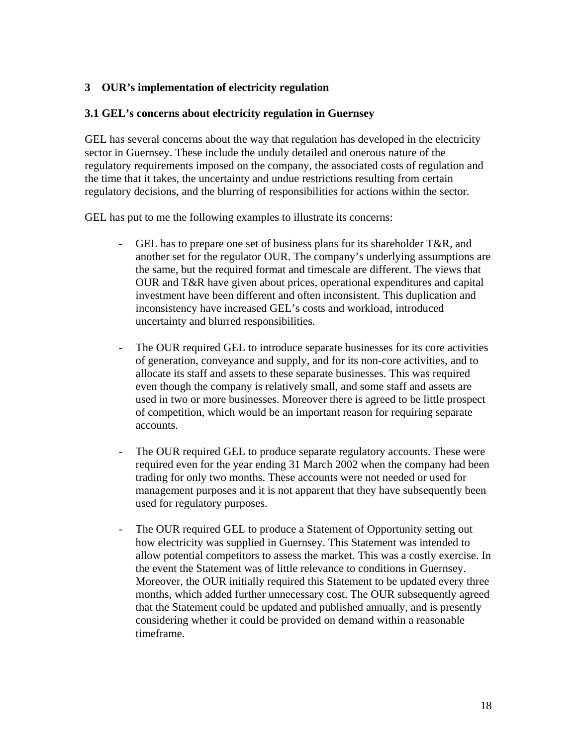## **3 OUR's implementation of electricity regulation**

### **3.1 GEL's concerns about electricity regulation in Guernsey**

GEL has several concerns about the way that regulation has developed in the electricity sector in Guernsey. These include the unduly detailed and onerous nature of the regulatory requirements imposed on the company, the associated costs of regulation and the time that it takes, the uncertainty and undue restrictions resulting from certain regulatory decisions, and the blurring of responsibilities for actions within the sector.

GEL has put to me the following examples to illustrate its concerns:

- GEL has to prepare one set of business plans for its shareholder T&R, and another set for the regulator OUR. The company's underlying assumptions are the same, but the required format and timescale are different. The views that OUR and T&R have given about prices, operational expenditures and capital investment have been different and often inconsistent. This duplication and inconsistency have increased GEL's costs and workload, introduced uncertainty and blurred responsibilities.
- The OUR required GEL to introduce separate businesses for its core activities of generation, conveyance and supply, and for its non-core activities, and to allocate its staff and assets to these separate businesses. This was required even though the company is relatively small, and some staff and assets are used in two or more businesses. Moreover there is agreed to be little prospect of competition, which would be an important reason for requiring separate accounts.
- The OUR required GEL to produce separate regulatory accounts. These were required even for the year ending 31 March 2002 when the company had been trading for only two months. These accounts were not needed or used for management purposes and it is not apparent that they have subsequently been used for regulatory purposes.
- The OUR required GEL to produce a Statement of Opportunity setting out how electricity was supplied in Guernsey. This Statement was intended to allow potential competitors to assess the market. This was a costly exercise. In the event the Statement was of little relevance to conditions in Guernsey. Moreover, the OUR initially required this Statement to be updated every three months, which added further unnecessary cost. The OUR subsequently agreed that the Statement could be updated and published annually, and is presently considering whether it could be provided on demand within a reasonable timeframe.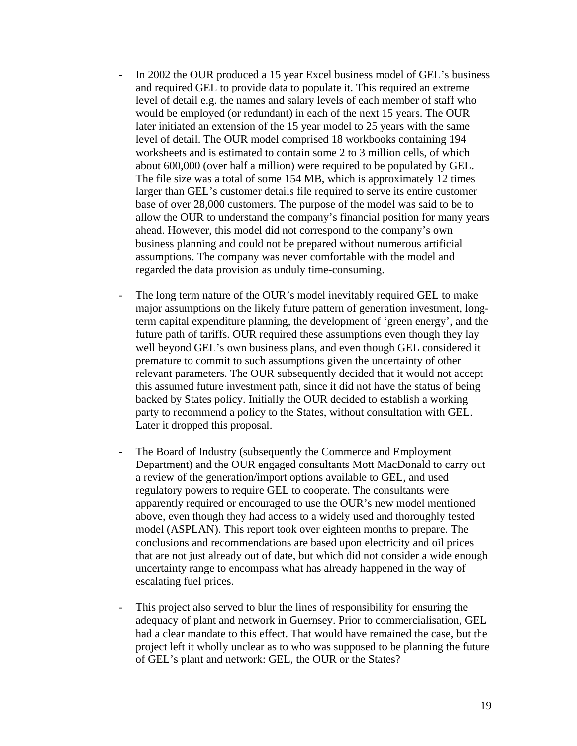- In 2002 the OUR produced a 15 year Excel business model of GEL's business and required GEL to provide data to populate it. This required an extreme level of detail e.g. the names and salary levels of each member of staff who would be employed (or redundant) in each of the next 15 years. The OUR later initiated an extension of the 15 year model to 25 years with the same level of detail. The OUR model comprised 18 workbooks containing 194 worksheets and is estimated to contain some 2 to 3 million cells, of which about 600,000 (over half a million) were required to be populated by GEL. The file size was a total of some 154 MB, which is approximately 12 times larger than GEL's customer details file required to serve its entire customer base of over 28,000 customers. The purpose of the model was said to be to allow the OUR to understand the company's financial position for many years ahead. However, this model did not correspond to the company's own business planning and could not be prepared without numerous artificial assumptions. The company was never comfortable with the model and regarded the data provision as unduly time-consuming.
- The long term nature of the OUR's model inevitably required GEL to make major assumptions on the likely future pattern of generation investment, longterm capital expenditure planning, the development of 'green energy', and the future path of tariffs. OUR required these assumptions even though they lay well beyond GEL's own business plans, and even though GEL considered it premature to commit to such assumptions given the uncertainty of other relevant parameters. The OUR subsequently decided that it would not accept this assumed future investment path, since it did not have the status of being backed by States policy. Initially the OUR decided to establish a working party to recommend a policy to the States, without consultation with GEL. Later it dropped this proposal.
- The Board of Industry (subsequently the Commerce and Employment Department) and the OUR engaged consultants Mott MacDonald to carry out a review of the generation/import options available to GEL, and used regulatory powers to require GEL to cooperate. The consultants were apparently required or encouraged to use the OUR's new model mentioned above, even though they had access to a widely used and thoroughly tested model (ASPLAN). This report took over eighteen months to prepare. The conclusions and recommendations are based upon electricity and oil prices that are not just already out of date, but which did not consider a wide enough uncertainty range to encompass what has already happened in the way of escalating fuel prices.
- This project also served to blur the lines of responsibility for ensuring the adequacy of plant and network in Guernsey. Prior to commercialisation, GEL had a clear mandate to this effect. That would have remained the case, but the project left it wholly unclear as to who was supposed to be planning the future of GEL's plant and network: GEL, the OUR or the States?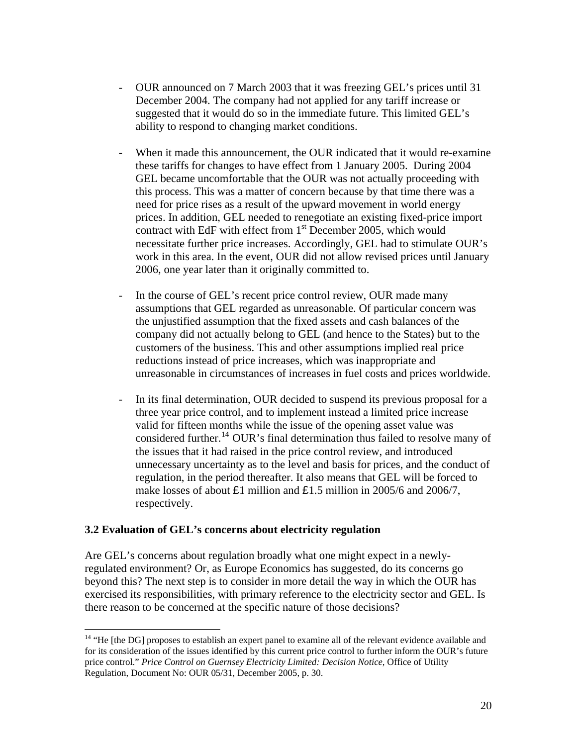- OUR announced on 7 March 2003 that it was freezing GEL's prices until 31 December 2004. The company had not applied for any tariff increase or suggested that it would do so in the immediate future. This limited GEL's ability to respond to changing market conditions.
- When it made this announcement, the OUR indicated that it would re-examine these tariffs for changes to have effect from 1 January 2005. During 2004 GEL became uncomfortable that the OUR was not actually proceeding with this process. This was a matter of concern because by that time there was a need for price rises as a result of the upward movement in world energy prices. In addition, GEL needed to renegotiate an existing fixed-price import contract with EdF with effect from  $1<sup>st</sup>$  December 2005, which would necessitate further price increases. Accordingly, GEL had to stimulate OUR's work in this area. In the event, OUR did not allow revised prices until January 2006, one year later than it originally committed to.
- In the course of GEL's recent price control review, OUR made many assumptions that GEL regarded as unreasonable. Of particular concern was the unjustified assumption that the fixed assets and cash balances of the company did not actually belong to GEL (and hence to the States) but to the customers of the business. This and other assumptions implied real price reductions instead of price increases, which was inappropriate and unreasonable in circumstances of increases in fuel costs and prices worldwide.
- In its final determination, OUR decided to suspend its previous proposal for a three year price control, and to implement instead a limited price increase valid for fifteen months while the issue of the opening asset value was considered further.[14](#page-19-0) OUR's final determination thus failed to resolve many of the issues that it had raised in the price control review, and introduced unnecessary uncertainty as to the level and basis for prices, and the conduct of regulation, in the period thereafter. It also means that GEL will be forced to make losses of about £1 million and £1.5 million in 2005/6 and 2006/7, respectively.

#### **3.2 Evaluation of GEL's concerns about electricity regulation**

 $\overline{a}$ 

Are GEL's concerns about regulation broadly what one might expect in a newlyregulated environment? Or, as Europe Economics has suggested, do its concerns go beyond this? The next step is to consider in more detail the way in which the OUR has exercised its responsibilities, with primary reference to the electricity sector and GEL. Is there reason to be concerned at the specific nature of those decisions?

<span id="page-19-0"></span><sup>&</sup>lt;sup>14</sup> "He [the DG] proposes to establish an expert panel to examine all of the relevant evidence available and for its consideration of the issues identified by this current price control to further inform the OUR's future price control." *Price Control on Guernsey Electricity Limited: Decision Notice*, Office of Utility Regulation, Document No: OUR 05/31, December 2005, p. 30.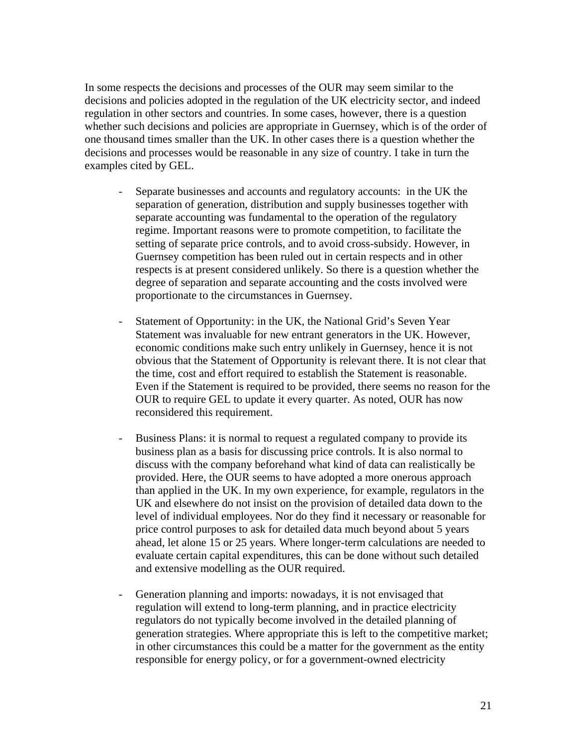In some respects the decisions and processes of the OUR may seem similar to the decisions and policies adopted in the regulation of the UK electricity sector, and indeed regulation in other sectors and countries. In some cases, however, there is a question whether such decisions and policies are appropriate in Guernsey, which is of the order of one thousand times smaller than the UK. In other cases there is a question whether the decisions and processes would be reasonable in any size of country. I take in turn the examples cited by GEL.

- Separate businesses and accounts and regulatory accounts: in the UK the separation of generation, distribution and supply businesses together with separate accounting was fundamental to the operation of the regulatory regime. Important reasons were to promote competition, to facilitate the setting of separate price controls, and to avoid cross-subsidy. However, in Guernsey competition has been ruled out in certain respects and in other respects is at present considered unlikely. So there is a question whether the degree of separation and separate accounting and the costs involved were proportionate to the circumstances in Guernsey.
- Statement of Opportunity: in the UK, the National Grid's Seven Year Statement was invaluable for new entrant generators in the UK. However, economic conditions make such entry unlikely in Guernsey, hence it is not obvious that the Statement of Opportunity is relevant there. It is not clear that the time, cost and effort required to establish the Statement is reasonable. Even if the Statement is required to be provided, there seems no reason for the OUR to require GEL to update it every quarter. As noted, OUR has now reconsidered this requirement.
- Business Plans: it is normal to request a regulated company to provide its business plan as a basis for discussing price controls. It is also normal to discuss with the company beforehand what kind of data can realistically be provided. Here, the OUR seems to have adopted a more onerous approach than applied in the UK. In my own experience, for example, regulators in the UK and elsewhere do not insist on the provision of detailed data down to the level of individual employees. Nor do they find it necessary or reasonable for price control purposes to ask for detailed data much beyond about 5 years ahead, let alone 15 or 25 years. Where longer-term calculations are needed to evaluate certain capital expenditures, this can be done without such detailed and extensive modelling as the OUR required.
- Generation planning and imports: nowadays, it is not envisaged that regulation will extend to long-term planning, and in practice electricity regulators do not typically become involved in the detailed planning of generation strategies. Where appropriate this is left to the competitive market; in other circumstances this could be a matter for the government as the entity responsible for energy policy, or for a government-owned electricity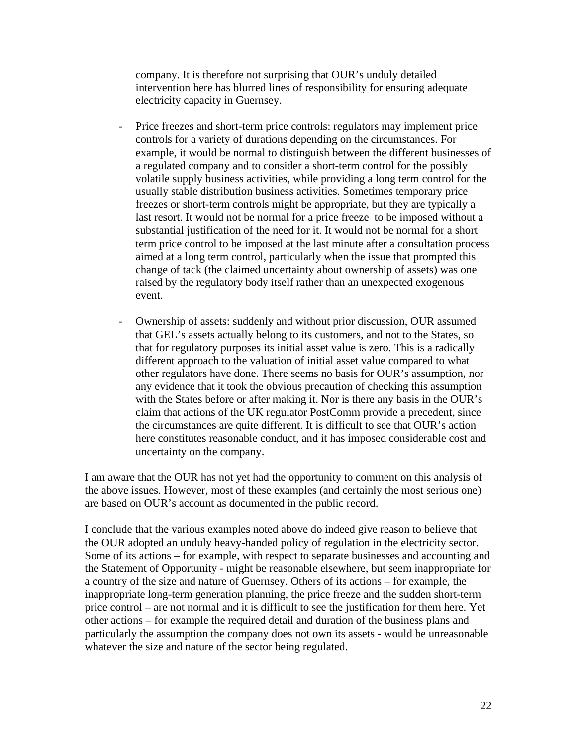company. It is therefore not surprising that OUR's unduly detailed intervention here has blurred lines of responsibility for ensuring adequate electricity capacity in Guernsey.

- Price freezes and short-term price controls: regulators may implement price controls for a variety of durations depending on the circumstances. For example, it would be normal to distinguish between the different businesses of a regulated company and to consider a short-term control for the possibly volatile supply business activities, while providing a long term control for the usually stable distribution business activities. Sometimes temporary price freezes or short-term controls might be appropriate, but they are typically a last resort. It would not be normal for a price freeze to be imposed without a substantial justification of the need for it. It would not be normal for a short term price control to be imposed at the last minute after a consultation process aimed at a long term control, particularly when the issue that prompted this change of tack (the claimed uncertainty about ownership of assets) was one raised by the regulatory body itself rather than an unexpected exogenous event.
- Ownership of assets: suddenly and without prior discussion, OUR assumed that GEL's assets actually belong to its customers, and not to the States, so that for regulatory purposes its initial asset value is zero. This is a radically different approach to the valuation of initial asset value compared to what other regulators have done. There seems no basis for OUR's assumption, nor any evidence that it took the obvious precaution of checking this assumption with the States before or after making it. Nor is there any basis in the OUR's claim that actions of the UK regulator PostComm provide a precedent, since the circumstances are quite different. It is difficult to see that OUR's action here constitutes reasonable conduct, and it has imposed considerable cost and uncertainty on the company.

I am aware that the OUR has not yet had the opportunity to comment on this analysis of the above issues. However, most of these examples (and certainly the most serious one) are based on OUR's account as documented in the public record.

I conclude that the various examples noted above do indeed give reason to believe that the OUR adopted an unduly heavy-handed policy of regulation in the electricity sector. Some of its actions – for example, with respect to separate businesses and accounting and the Statement of Opportunity - might be reasonable elsewhere, but seem inappropriate for a country of the size and nature of Guernsey. Others of its actions – for example, the inappropriate long-term generation planning, the price freeze and the sudden short-term price control – are not normal and it is difficult to see the justification for them here. Yet other actions – for example the required detail and duration of the business plans and particularly the assumption the company does not own its assets - would be unreasonable whatever the size and nature of the sector being regulated.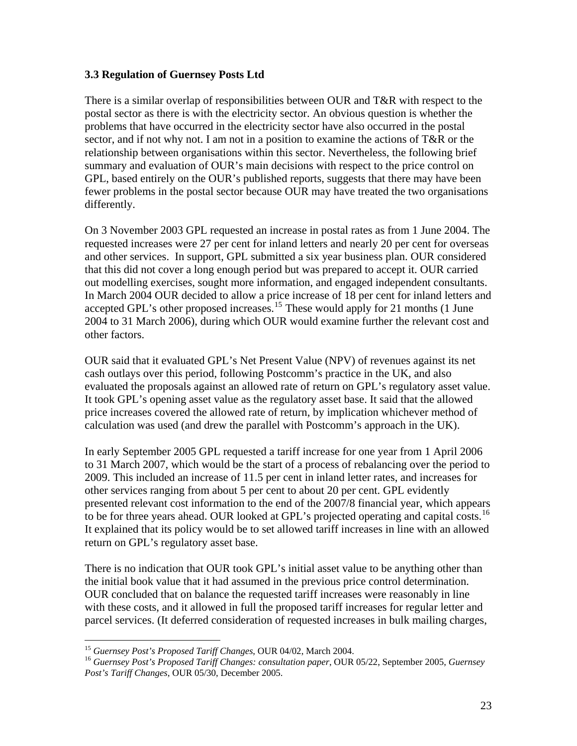## **3.3 Regulation of Guernsey Posts Ltd**

There is a similar overlap of responsibilities between OUR and T&R with respect to the postal sector as there is with the electricity sector. An obvious question is whether the problems that have occurred in the electricity sector have also occurred in the postal sector, and if not why not. I am not in a position to examine the actions of T&R or the relationship between organisations within this sector. Nevertheless, the following brief summary and evaluation of OUR's main decisions with respect to the price control on GPL, based entirely on the OUR's published reports, suggests that there may have been fewer problems in the postal sector because OUR may have treated the two organisations differently.

On 3 November 2003 GPL requested an increase in postal rates as from 1 June 2004. The requested increases were 27 per cent for inland letters and nearly 20 per cent for overseas and other services. In support, GPL submitted a six year business plan. OUR considered that this did not cover a long enough period but was prepared to accept it. OUR carried out modelling exercises, sought more information, and engaged independent consultants. In March 2004 OUR decided to allow a price increase of 18 per cent for inland letters and accepted GPL's other proposed increases.<sup>[15](#page-22-0)</sup> These would apply for 21 months (1 June 2004 to 31 March 2006), during which OUR would examine further the relevant cost and other factors.

OUR said that it evaluated GPL's Net Present Value (NPV) of revenues against its net cash outlays over this period, following Postcomm's practice in the UK, and also evaluated the proposals against an allowed rate of return on GPL's regulatory asset value. It took GPL's opening asset value as the regulatory asset base. It said that the allowed price increases covered the allowed rate of return, by implication whichever method of calculation was used (and drew the parallel with Postcomm's approach in the UK).

In early September 2005 GPL requested a tariff increase for one year from 1 April 2006 to 31 March 2007, which would be the start of a process of rebalancing over the period to 2009. This included an increase of 11.5 per cent in inland letter rates, and increases for other services ranging from about 5 per cent to about 20 per cent. GPL evidently presented relevant cost information to the end of the 2007/8 financial year, which appears to be for three years ahead. OUR looked at GPL's projected operating and capital costs.<sup>[16](#page-22-1)</sup> It explained that its policy would be to set allowed tariff increases in line with an allowed return on GPL's regulatory asset base.

There is no indication that OUR took GPL's initial asset value to be anything other than the initial book value that it had assumed in the previous price control determination. OUR concluded that on balance the requested tariff increases were reasonably in line with these costs, and it allowed in full the proposed tariff increases for regular letter and parcel services. (It deferred consideration of requested increases in bulk mailing charges,

1

<span id="page-22-1"></span><span id="page-22-0"></span><sup>&</sup>lt;sup>15</sup> *Guernsey Post's Proposed Tariff Changes*, OUR 04/02, March 2004.<br><sup>16</sup> *Guernsey Post's Proposed Tariff Changes: consultation paper*, OUR 05/22, September 2005, *Guernsey Post's Tariff Changes*, OUR 05/30, December 2005.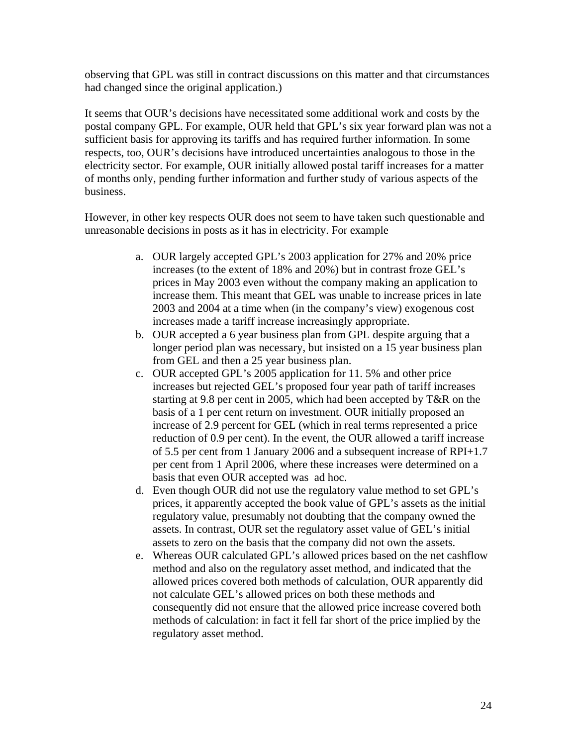observing that GPL was still in contract discussions on this matter and that circumstances had changed since the original application.)

It seems that OUR's decisions have necessitated some additional work and costs by the postal company GPL. For example, OUR held that GPL's six year forward plan was not a sufficient basis for approving its tariffs and has required further information. In some respects, too, OUR's decisions have introduced uncertainties analogous to those in the electricity sector. For example, OUR initially allowed postal tariff increases for a matter of months only, pending further information and further study of various aspects of the business.

However, in other key respects OUR does not seem to have taken such questionable and unreasonable decisions in posts as it has in electricity. For example

- a. OUR largely accepted GPL's 2003 application for 27% and 20% price increases (to the extent of 18% and 20%) but in contrast froze GEL's prices in May 2003 even without the company making an application to increase them. This meant that GEL was unable to increase prices in late 2003 and 2004 at a time when (in the company's view) exogenous cost increases made a tariff increase increasingly appropriate.
- b. OUR accepted a 6 year business plan from GPL despite arguing that a longer period plan was necessary, but insisted on a 15 year business plan from GEL and then a 25 year business plan.
- c. OUR accepted GPL's 2005 application for 11. 5% and other price increases but rejected GEL's proposed four year path of tariff increases starting at 9.8 per cent in 2005, which had been accepted by T&R on the basis of a 1 per cent return on investment. OUR initially proposed an increase of 2.9 percent for GEL (which in real terms represented a price reduction of 0.9 per cent). In the event, the OUR allowed a tariff increase of 5.5 per cent from 1 January 2006 and a subsequent increase of RPI+1.7 per cent from 1 April 2006, where these increases were determined on a basis that even OUR accepted was ad hoc.
- d. Even though OUR did not use the regulatory value method to set GPL's prices, it apparently accepted the book value of GPL's assets as the initial regulatory value, presumably not doubting that the company owned the assets. In contrast, OUR set the regulatory asset value of GEL's initial assets to zero on the basis that the company did not own the assets.
- e. Whereas OUR calculated GPL's allowed prices based on the net cashflow method and also on the regulatory asset method, and indicated that the allowed prices covered both methods of calculation, OUR apparently did not calculate GEL's allowed prices on both these methods and consequently did not ensure that the allowed price increase covered both methods of calculation: in fact it fell far short of the price implied by the regulatory asset method.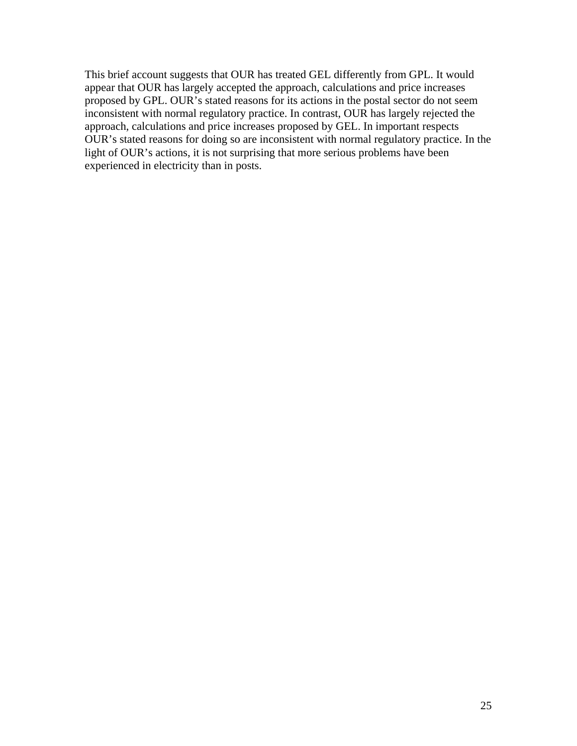This brief account suggests that OUR has treated GEL differently from GPL. It would appear that OUR has largely accepted the approach, calculations and price increases proposed by GPL. OUR's stated reasons for its actions in the postal sector do not seem inconsistent with normal regulatory practice. In contrast, OUR has largely rejected the approach, calculations and price increases proposed by GEL. In important respects OUR's stated reasons for doing so are inconsistent with normal regulatory practice. In the light of OUR's actions, it is not surprising that more serious problems have been experienced in electricity than in posts.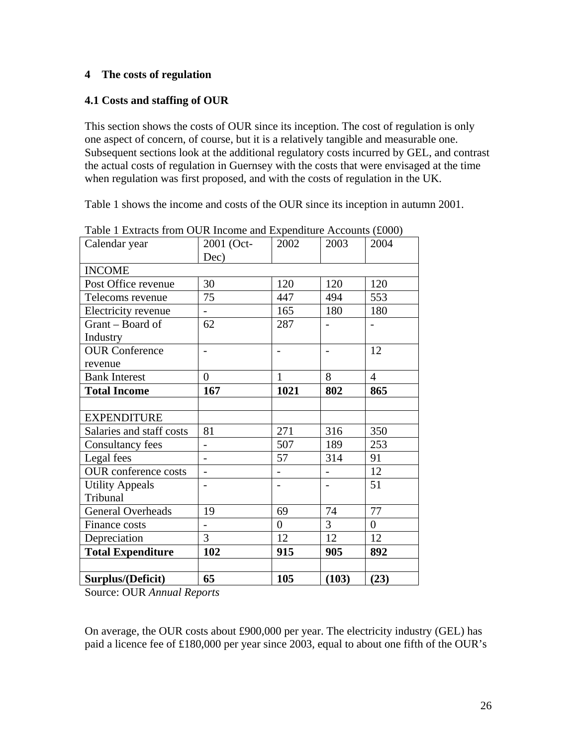## **4 The costs of regulation**

## **4.1 Costs and staffing of OUR**

This section shows the costs of OUR since its inception. The cost of regulation is only one aspect of concern, of course, but it is a relatively tangible and measurable one. Subsequent sections look at the additional regulatory costs incurred by GEL, and contrast the actual costs of regulation in Guernsey with the costs that were envisaged at the time when regulation was first proposed, and with the costs of regulation in the UK.

Table 1 shows the income and costs of the OUR since its inception in autumn 2001.

| Calendar year               | 2001 (Oct-               | 2002           | 2003           | 2004           |
|-----------------------------|--------------------------|----------------|----------------|----------------|
|                             | Dec)                     |                |                |                |
| <b>INCOME</b>               |                          |                |                |                |
| Post Office revenue         | 30                       | 120            | 120            | 120            |
| Telecoms revenue            | 75                       | 447            | 494            | 553            |
| Electricity revenue         | $\overline{a}$           | 165            | 180            | 180            |
| Grant – Board of            | 62                       | 287            |                |                |
| Industry                    |                          |                |                |                |
| <b>OUR Conference</b>       | $\overline{\phantom{0}}$ |                |                | 12             |
| revenue                     |                          |                |                |                |
| <b>Bank Interest</b>        | $\overline{0}$           | 1              | 8              | $\overline{4}$ |
| <b>Total Income</b>         | 167                      | 1021           | 802            | 865            |
|                             |                          |                |                |                |
| <b>EXPENDITURE</b>          |                          |                |                |                |
| Salaries and staff costs    | 81                       | 271            | 316            | 350            |
| Consultancy fees            |                          | 507            | 189            | 253            |
| Legal fees                  |                          | 57             | 314            | 91             |
| <b>OUR</b> conference costs |                          |                |                | 12             |
| <b>Utility Appeals</b>      |                          |                |                | 51             |
| Tribunal                    |                          |                |                |                |
| <b>General Overheads</b>    | 19                       | 69             | 74             | 77             |
| Finance costs               |                          | $\overline{0}$ | $\overline{3}$ | $\overline{0}$ |
| Depreciation                | 3                        | 12             | 12             | 12             |
| <b>Total Expenditure</b>    | 102                      | 915            | 905            | 892            |
|                             |                          |                |                |                |
| Surplus/(Deficit)           | 65                       | 105            | (103)          | (23)           |

Table 1 Extracts from OUR Income and Expenditure Accounts (£000)

Source: OUR *Annual Reports*

On average, the OUR costs about £900,000 per year. The electricity industry (GEL) has paid a licence fee of £180,000 per year since 2003, equal to about one fifth of the OUR's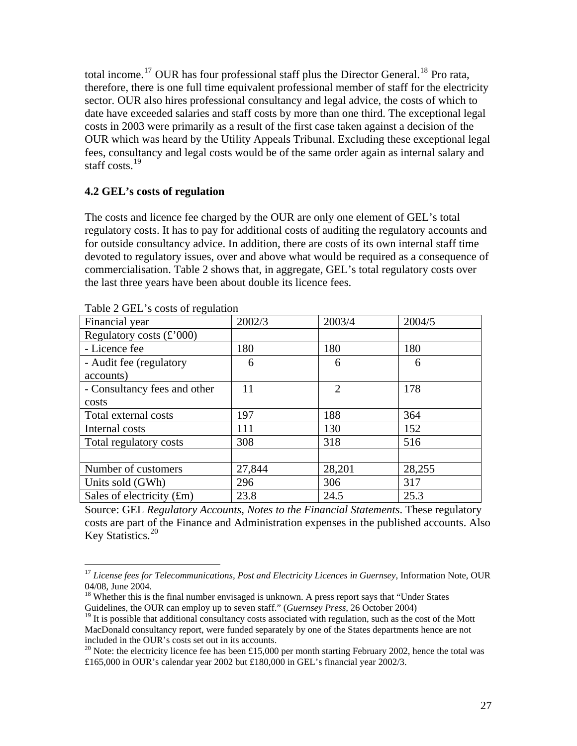total income.<sup>[17](#page-26-0)</sup> OUR has four professional staff plus the Director General.<sup>[18](#page-26-1)</sup> Pro rata, therefore, there is one full time equivalent professional member of staff for the electricity sector. OUR also hires professional consultancy and legal advice, the costs of which to date have exceeded salaries and staff costs by more than one third. The exceptional legal costs in 2003 were primarily as a result of the first case taken against a decision of the OUR which was heard by the Utility Appeals Tribunal. Excluding these exceptional legal fees, consultancy and legal costs would be of the same order again as internal salary and staff costs. $19$ 

### **4.2 GEL's costs of regulation**

The costs and licence fee charged by the OUR are only one element of GEL's total regulatory costs. It has to pay for additional costs of auditing the regulatory accounts and for outside consultancy advice. In addition, there are costs of its own internal staff time devoted to regulatory issues, over and above what would be required as a consequence of commercialisation. Table 2 shows that, in aggregate, GEL's total regulatory costs over the last three years have been about double its licence fees.

| $1400C \geq 011C$ s costs of regulation |        |                |        |  |  |
|-----------------------------------------|--------|----------------|--------|--|--|
| Financial year                          | 2002/3 | 2003/4         | 2004/5 |  |  |
| Regulatory costs $(\text{\pounds} 000)$ |        |                |        |  |  |
| - Licence fee                           | 180    | 180            | 180    |  |  |
| - Audit fee (regulatory                 | 6      | 6              | 6      |  |  |
| accounts)                               |        |                |        |  |  |
| - Consultancy fees and other            | 11     | $\overline{2}$ | 178    |  |  |
| costs                                   |        |                |        |  |  |
| Total external costs                    | 197    | 188            | 364    |  |  |
| Internal costs                          | 111    | 130            | 152    |  |  |
| Total regulatory costs                  | 308    | 318            | 516    |  |  |
|                                         |        |                |        |  |  |
| Number of customers                     | 27,844 | 28,201         | 28,255 |  |  |
| Units sold (GWh)                        | 296    | 306            | 317    |  |  |
| Sales of electricity $(fm)$             | 23.8   | 24.5           | 25.3   |  |  |

Table 2 GEL's costs of regulation

 $\overline{a}$ 

Source: GEL *Regulatory Accounts, Notes to the Financial Statements*. These regulatory costs are part of the Finance and Administration expenses in the published accounts. Also Key Statistics.<sup>[20](#page-26-3)</sup>

<span id="page-26-0"></span><sup>&</sup>lt;sup>17</sup> License fees for Telecommunications, Post and Electricity Licences in Guernsey, Information Note, OUR 04/08, June 2004.

<span id="page-26-1"></span><sup>&</sup>lt;sup>18</sup> Whether this is the final number envisaged is unknown. A press report says that "Under States" Guidelines, the OUR can employ up to seven staff." (*Guernsey Press*, 26 October 2004)

<span id="page-26-2"></span> $19$  It is possible that additional consultancy costs associated with regulation, such as the cost of the Mott MacDonald consultancy report, were funded separately by one of the States departments hence are not included in the OUR's costs set out in its accounts.

<span id="page-26-3"></span><sup>&</sup>lt;sup>20</sup> Note: the electricity licence fee has been £15,000 per month starting February 2002, hence the total was £165,000 in OUR's calendar year 2002 but £180,000 in GEL's financial year 2002/3.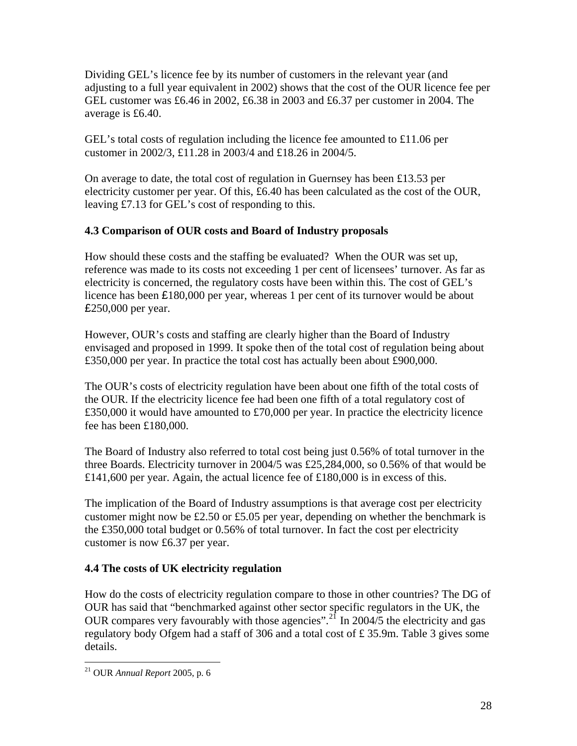Dividing GEL's licence fee by its number of customers in the relevant year (and adjusting to a full year equivalent in 2002) shows that the cost of the OUR licence fee per GEL customer was £6.46 in 2002, £6.38 in 2003 and £6.37 per customer in 2004. The average is £6.40.

GEL's total costs of regulation including the licence fee amounted to £11.06 per customer in 2002/3, £11.28 in 2003/4 and £18.26 in 2004/5.

On average to date, the total cost of regulation in Guernsey has been £13.53 per electricity customer per year. Of this, £6.40 has been calculated as the cost of the OUR, leaving £7.13 for GEL's cost of responding to this.

# **4.3 Comparison of OUR costs and Board of Industry proposals**

How should these costs and the staffing be evaluated? When the OUR was set up, reference was made to its costs not exceeding 1 per cent of licensees' turnover. As far as electricity is concerned, the regulatory costs have been within this. The cost of GEL's licence has been £180,000 per year, whereas 1 per cent of its turnover would be about £250,000 per year.

However, OUR's costs and staffing are clearly higher than the Board of Industry envisaged and proposed in 1999. It spoke then of the total cost of regulation being about £350,000 per year. In practice the total cost has actually been about £900,000.

The OUR's costs of electricity regulation have been about one fifth of the total costs of the OUR. If the electricity licence fee had been one fifth of a total regulatory cost of £350,000 it would have amounted to £70,000 per year. In practice the electricity licence fee has been £180,000.

The Board of Industry also referred to total cost being just 0.56% of total turnover in the three Boards. Electricity turnover in 2004/5 was £25,284,000, so 0.56% of that would be £141,600 per year. Again, the actual licence fee of £180,000 is in excess of this.

The implication of the Board of Industry assumptions is that average cost per electricity customer might now be £2.50 or £5.05 per year, depending on whether the benchmark is the £350,000 total budget or 0.56% of total turnover. In fact the cost per electricity customer is now £6.37 per year.

# **4.4 The costs of UK electricity regulation**

How do the costs of electricity regulation compare to those in other countries? The DG of OUR has said that "benchmarked against other sector specific regulators in the UK, the OUR compares very favourably with those agencies".<sup>[21](#page-27-0)</sup> In 2004/5 the electricity and gas regulatory body Ofgem had a staff of 306 and a total cost of £ 35.9m. Table 3 gives some details.

<span id="page-27-0"></span><sup>21</sup> OUR *Annual Report* 2005, p. 6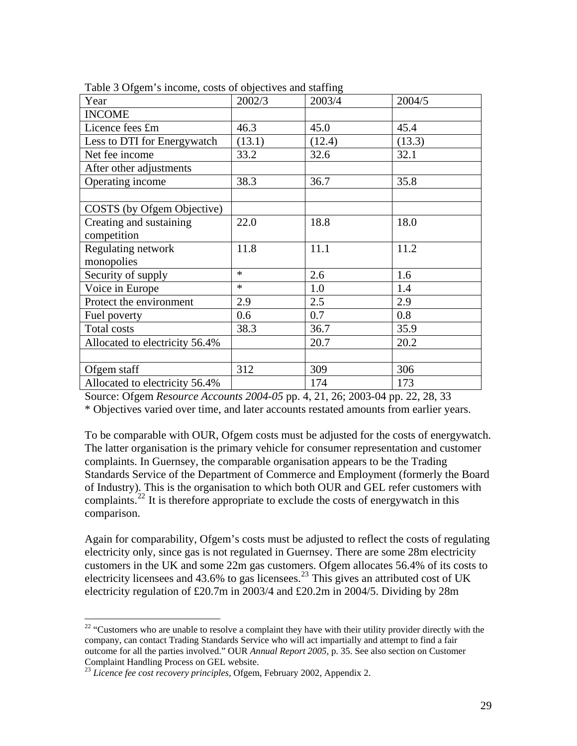| $\frac{1}{2}$ organ $\frac{1}{2}$ moonic, costs or oppoint to and starting |        |        |        |  |
|----------------------------------------------------------------------------|--------|--------|--------|--|
| Year                                                                       | 2002/3 | 2003/4 | 2004/5 |  |
| <b>INCOME</b>                                                              |        |        |        |  |
| Licence fees £m                                                            | 46.3   | 45.0   | 45.4   |  |
| Less to DTI for Energywatch                                                | (13.1) | (12.4) | (13.3) |  |
| Net fee income                                                             | 33.2   | 32.6   | 32.1   |  |
| After other adjustments                                                    |        |        |        |  |
| Operating income                                                           | 38.3   | 36.7   | 35.8   |  |
|                                                                            |        |        |        |  |
| COSTS (by Ofgem Objective)                                                 |        |        |        |  |
| Creating and sustaining                                                    | 22.0   | 18.8   | 18.0   |  |
| competition                                                                |        |        |        |  |
| Regulating network                                                         | 11.8   | 11.1   | 11.2   |  |
| monopolies                                                                 |        |        |        |  |
| Security of supply                                                         | $\ast$ | 2.6    | 1.6    |  |
| Voice in Europe                                                            | $\ast$ | 1.0    | 1.4    |  |
| Protect the environment                                                    | 2.9    | 2.5    | 2.9    |  |
| Fuel poverty                                                               | 0.6    | 0.7    | 0.8    |  |
| Total costs                                                                | 38.3   | 36.7   | 35.9   |  |
| Allocated to electricity 56.4%                                             |        | 20.7   | 20.2   |  |
|                                                                            |        |        |        |  |
| Ofgem staff                                                                | 312    | 309    | 306    |  |
| Allocated to electricity 56.4%                                             |        | 174    | 173    |  |

Table 3 Ofgem's income, costs of objectives and staffing

Source: Ofgem *Resource Accounts 2004-05* pp. 4, 21, 26; 2003-04 pp. 22, 28, 33

\* Objectives varied over time, and later accounts restated amounts from earlier years.

To be comparable with OUR, Ofgem costs must be adjusted for the costs of energywatch. The latter organisation is the primary vehicle for consumer representation and customer complaints. In Guernsey, the comparable organisation appears to be the Trading Standards Service of the Department of Commerce and Employment (formerly the Board of Industry). This is the organisation to which both OUR and GEL refer customers with complaints.<sup>[22](#page-28-0)</sup> It is therefore appropriate to exclude the costs of energy watch in this comparison.

Again for comparability, Ofgem's costs must be adjusted to reflect the costs of regulating electricity only, since gas is not regulated in Guernsey. There are some 28m electricity customers in the UK and some 22m gas customers. Ofgem allocates 56.4% of its costs to electricity licensees and 43.6% to gas licensees.<sup>[23](#page-28-1)</sup> This gives an attributed cost of UK electricity regulation of £20.7m in 2003/4 and £20.2m in 2004/5. Dividing by 28m

<span id="page-28-0"></span> $22$  "Customers who are unable to resolve a complaint they have with their utility provider directly with the company, can contact Trading Standards Service who will act impartially and attempt to find a fair outcome for all the parties involved." OUR *Annual Report 2005*, p. 35. See also section on Customer Complaint Handling Process on GEL website.

<span id="page-28-1"></span><sup>23</sup> *Licence fee cost recovery principles*, Ofgem, February 2002, Appendix 2.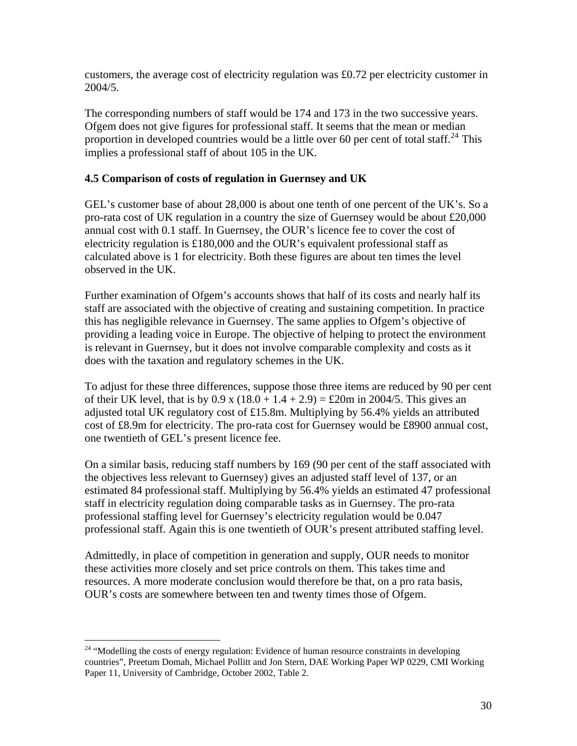customers, the average cost of electricity regulation was £0.72 per electricity customer in 2004/5.

The corresponding numbers of staff would be 174 and 173 in the two successive years. Ofgem does not give figures for professional staff. It seems that the mean or median proportion in developed countries would be a little over 60 per cent of total staff.<sup>[24](#page-29-0)</sup> This implies a professional staff of about 105 in the UK.

## **4.5 Comparison of costs of regulation in Guernsey and UK**

GEL's customer base of about 28,000 is about one tenth of one percent of the UK's. So a pro-rata cost of UK regulation in a country the size of Guernsey would be about £20,000 annual cost with 0.1 staff. In Guernsey, the OUR's licence fee to cover the cost of electricity regulation is £180,000 and the OUR's equivalent professional staff as calculated above is 1 for electricity. Both these figures are about ten times the level observed in the UK.

Further examination of Ofgem's accounts shows that half of its costs and nearly half its staff are associated with the objective of creating and sustaining competition. In practice this has negligible relevance in Guernsey. The same applies to Ofgem's objective of providing a leading voice in Europe. The objective of helping to protect the environment is relevant in Guernsey, but it does not involve comparable complexity and costs as it does with the taxation and regulatory schemes in the UK.

To adjust for these three differences, suppose those three items are reduced by 90 per cent of their UK level, that is by  $0.9 \times (18.0 + 1.4 + 2.9) = \text{\textsterling}20 \text{ m}$  in 2004/5. This gives an adjusted total UK regulatory cost of £15.8m. Multiplying by 56.4% yields an attributed cost of £8.9m for electricity. The pro-rata cost for Guernsey would be £8900 annual cost, one twentieth of GEL's present licence fee.

On a similar basis, reducing staff numbers by 169 (90 per cent of the staff associated with the objectives less relevant to Guernsey) gives an adjusted staff level of 137, or an estimated 84 professional staff. Multiplying by 56.4% yields an estimated 47 professional staff in electricity regulation doing comparable tasks as in Guernsey. The pro-rata professional staffing level for Guernsey's electricity regulation would be 0.047 professional staff. Again this is one twentieth of OUR's present attributed staffing level.

Admittedly, in place of competition in generation and supply, OUR needs to monitor these activities more closely and set price controls on them. This takes time and resources. A more moderate conclusion would therefore be that, on a pro rata basis, OUR's costs are somewhere between ten and twenty times those of Ofgem.

<span id="page-29-0"></span><sup>&</sup>lt;sup>24</sup> "Modelling the costs of energy regulation: Evidence of human resource constraints in developing countries", Preetum Domah, Michael Pollitt and Jon Stern, DAE Working Paper WP 0229, CMI Working Paper 11, University of Cambridge, October 2002, Table 2.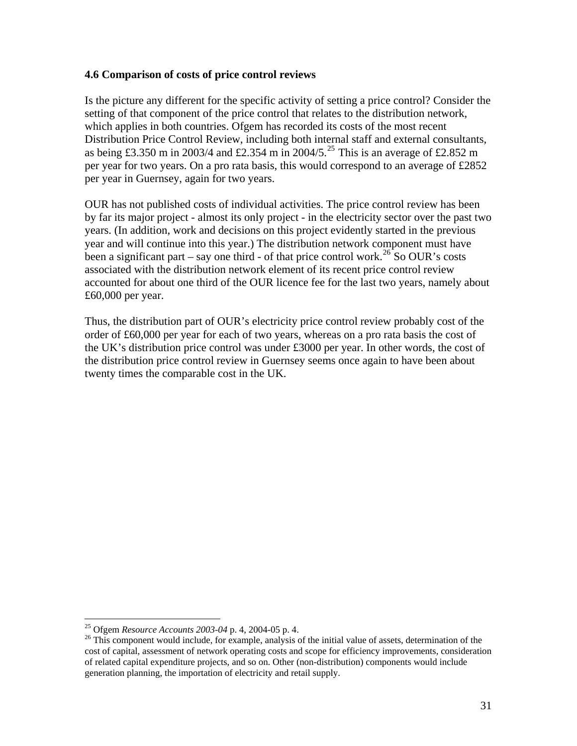### **4.6 Comparison of costs of price control reviews**

Is the picture any different for the specific activity of setting a price control? Consider the setting of that component of the price control that relates to the distribution network, which applies in both countries. Ofgem has recorded its costs of the most recent Distribution Price Control Review, including both internal staff and external consultants, as being £3.350 m in 2003/4 and £2.354 m in 2004/5.<sup>[25](#page-30-0)</sup> This is an average of £2.852 m per year for two years. On a pro rata basis, this would correspond to an average of £2852 per year in Guernsey, again for two years.

OUR has not published costs of individual activities. The price control review has been by far its major project - almost its only project - in the electricity sector over the past two years. (In addition, work and decisions on this project evidently started in the previous year and will continue into this year.) The distribution network component must have been a significant part – say one third - of that price control work.<sup>[26](#page-30-1)</sup> So OUR's costs associated with the distribution network element of its recent price control review accounted for about one third of the OUR licence fee for the last two years, namely about £60,000 per year.

Thus, the distribution part of OUR's electricity price control review probably cost of the order of £60,000 per year for each of two years, whereas on a pro rata basis the cost of the UK's distribution price control was under £3000 per year. In other words, the cost of the distribution price control review in Guernsey seems once again to have been about twenty times the comparable cost in the UK.

<span id="page-30-0"></span><sup>&</sup>lt;sup>25</sup> Ofgem Resource Accounts 2003-04 p. 4, 2004-05 p. 4.

<span id="page-30-1"></span><sup>&</sup>lt;sup>26</sup> This component would include, for example, analysis of the initial value of assets, determination of the cost of capital, assessment of network operating costs and scope for efficiency improvements, consideration of related capital expenditure projects, and so on. Other (non-distribution) components would include generation planning, the importation of electricity and retail supply.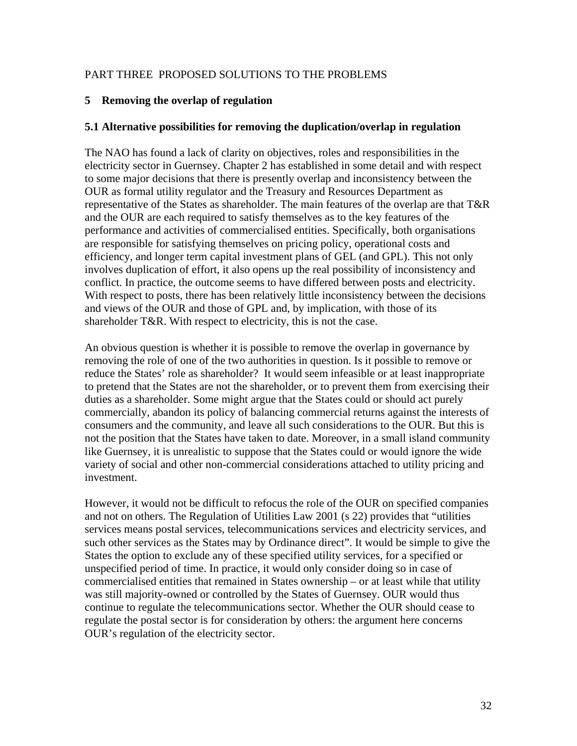## PART THREE PROPOSED SOLUTIONS TO THE PROBLEMS

### **5 Removing the overlap of regulation**

#### **5.1 Alternative possibilities for removing the duplication/overlap in regulation**

The NAO has found a lack of clarity on objectives, roles and responsibilities in the electricity sector in Guernsey. Chapter 2 has established in some detail and with respect to some major decisions that there is presently overlap and inconsistency between the OUR as formal utility regulator and the Treasury and Resources Department as representative of the States as shareholder. The main features of the overlap are that T&R and the OUR are each required to satisfy themselves as to the key features of the performance and activities of commercialised entities. Specifically, both organisations are responsible for satisfying themselves on pricing policy, operational costs and efficiency, and longer term capital investment plans of GEL (and GPL). This not only involves duplication of effort, it also opens up the real possibility of inconsistency and conflict. In practice, the outcome seems to have differed between posts and electricity. With respect to posts, there has been relatively little inconsistency between the decisions and views of the OUR and those of GPL and, by implication, with those of its shareholder T&R. With respect to electricity, this is not the case.

An obvious question is whether it is possible to remove the overlap in governance by removing the role of one of the two authorities in question. Is it possible to remove or reduce the States' role as shareholder? It would seem infeasible or at least inappropriate to pretend that the States are not the shareholder, or to prevent them from exercising their duties as a shareholder. Some might argue that the States could or should act purely commercially, abandon its policy of balancing commercial returns against the interests of consumers and the community, and leave all such considerations to the OUR. But this is not the position that the States have taken to date. Moreover, in a small island community like Guernsey, it is unrealistic to suppose that the States could or would ignore the wide variety of social and other non-commercial considerations attached to utility pricing and investment.

However, it would not be difficult to refocus the role of the OUR on specified companies and not on others. The Regulation of Utilities Law 2001 (s 22) provides that "utilities services means postal services, telecommunications services and electricity services, and such other services as the States may by Ordinance direct". It would be simple to give the States the option to exclude any of these specified utility services, for a specified or unspecified period of time. In practice, it would only consider doing so in case of commercialised entities that remained in States ownership – or at least while that utility was still majority-owned or controlled by the States of Guernsey. OUR would thus continue to regulate the telecommunications sector. Whether the OUR should cease to regulate the postal sector is for consideration by others: the argument here concerns OUR's regulation of the electricity sector.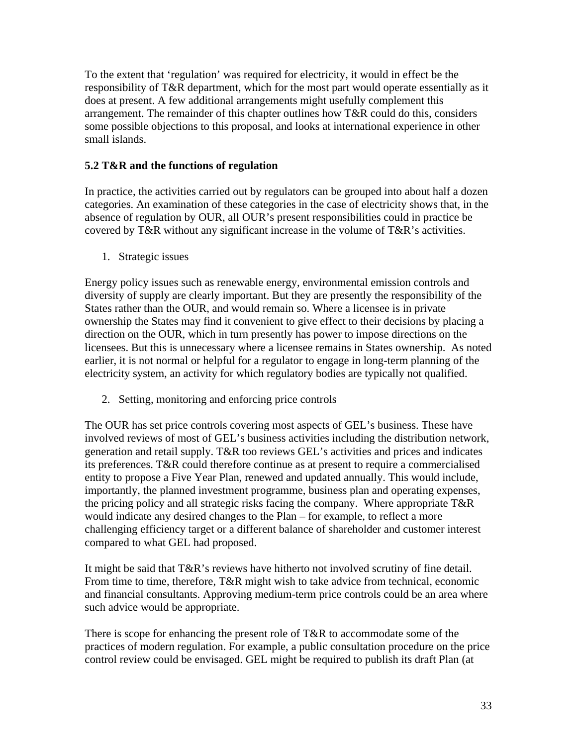To the extent that 'regulation' was required for electricity, it would in effect be the responsibility of T&R department, which for the most part would operate essentially as it does at present. A few additional arrangements might usefully complement this arrangement. The remainder of this chapter outlines how T&R could do this, considers some possible objections to this proposal, and looks at international experience in other small islands.

## **5.2 T&R and the functions of regulation**

In practice, the activities carried out by regulators can be grouped into about half a dozen categories. An examination of these categories in the case of electricity shows that, in the absence of regulation by OUR, all OUR's present responsibilities could in practice be covered by T&R without any significant increase in the volume of T&R's activities.

1. Strategic issues

Energy policy issues such as renewable energy, environmental emission controls and diversity of supply are clearly important. But they are presently the responsibility of the States rather than the OUR, and would remain so. Where a licensee is in private ownership the States may find it convenient to give effect to their decisions by placing a direction on the OUR, which in turn presently has power to impose directions on the licensees. But this is unnecessary where a licensee remains in States ownership. As noted earlier, it is not normal or helpful for a regulator to engage in long-term planning of the electricity system, an activity for which regulatory bodies are typically not qualified.

2. Setting, monitoring and enforcing price controls

The OUR has set price controls covering most aspects of GEL's business. These have involved reviews of most of GEL's business activities including the distribution network, generation and retail supply. T&R too reviews GEL's activities and prices and indicates its preferences. T&R could therefore continue as at present to require a commercialised entity to propose a Five Year Plan, renewed and updated annually. This would include, importantly, the planned investment programme, business plan and operating expenses, the pricing policy and all strategic risks facing the company. Where appropriate T&R would indicate any desired changes to the Plan – for example, to reflect a more challenging efficiency target or a different balance of shareholder and customer interest compared to what GEL had proposed.

It might be said that T&R's reviews have hitherto not involved scrutiny of fine detail. From time to time, therefore, T&R might wish to take advice from technical, economic and financial consultants. Approving medium-term price controls could be an area where such advice would be appropriate.

There is scope for enhancing the present role of T&R to accommodate some of the practices of modern regulation. For example, a public consultation procedure on the price control review could be envisaged. GEL might be required to publish its draft Plan (at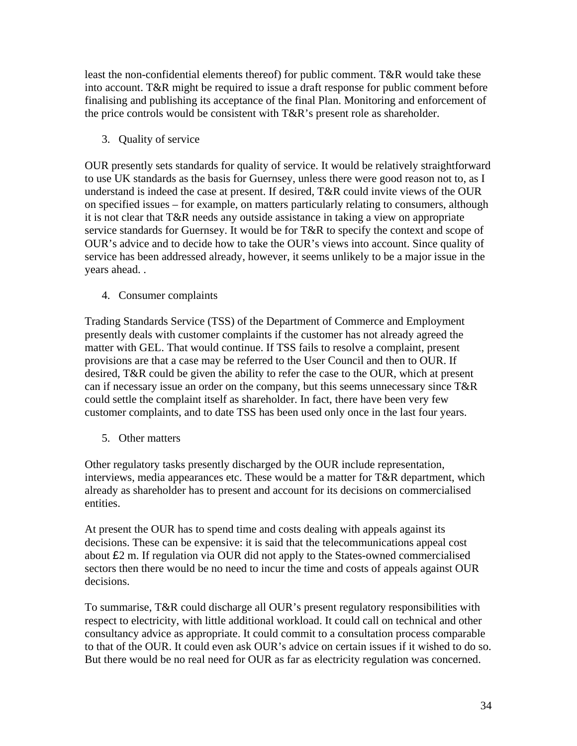least the non-confidential elements thereof) for public comment. T&R would take these into account. T&R might be required to issue a draft response for public comment before finalising and publishing its acceptance of the final Plan. Monitoring and enforcement of the price controls would be consistent with T&R's present role as shareholder.

3. Quality of service

OUR presently sets standards for quality of service. It would be relatively straightforward to use UK standards as the basis for Guernsey, unless there were good reason not to, as I understand is indeed the case at present. If desired, T&R could invite views of the OUR on specified issues – for example, on matters particularly relating to consumers, although it is not clear that T&R needs any outside assistance in taking a view on appropriate service standards for Guernsey. It would be for T&R to specify the context and scope of OUR's advice and to decide how to take the OUR's views into account. Since quality of service has been addressed already, however, it seems unlikely to be a major issue in the years ahead. .

4. Consumer complaints

Trading Standards Service (TSS) of the Department of Commerce and Employment presently deals with customer complaints if the customer has not already agreed the matter with GEL. That would continue. If TSS fails to resolve a complaint, present provisions are that a case may be referred to the User Council and then to OUR. If desired, T&R could be given the ability to refer the case to the OUR, which at present can if necessary issue an order on the company, but this seems unnecessary since T&R could settle the complaint itself as shareholder. In fact, there have been very few customer complaints, and to date TSS has been used only once in the last four years.

5. Other matters

Other regulatory tasks presently discharged by the OUR include representation, interviews, media appearances etc. These would be a matter for T&R department, which already as shareholder has to present and account for its decisions on commercialised entities.

At present the OUR has to spend time and costs dealing with appeals against its decisions. These can be expensive: it is said that the telecommunications appeal cost about £2 m. If regulation via OUR did not apply to the States-owned commercialised sectors then there would be no need to incur the time and costs of appeals against OUR decisions.

To summarise, T&R could discharge all OUR's present regulatory responsibilities with respect to electricity, with little additional workload. It could call on technical and other consultancy advice as appropriate. It could commit to a consultation process comparable to that of the OUR. It could even ask OUR's advice on certain issues if it wished to do so. But there would be no real need for OUR as far as electricity regulation was concerned.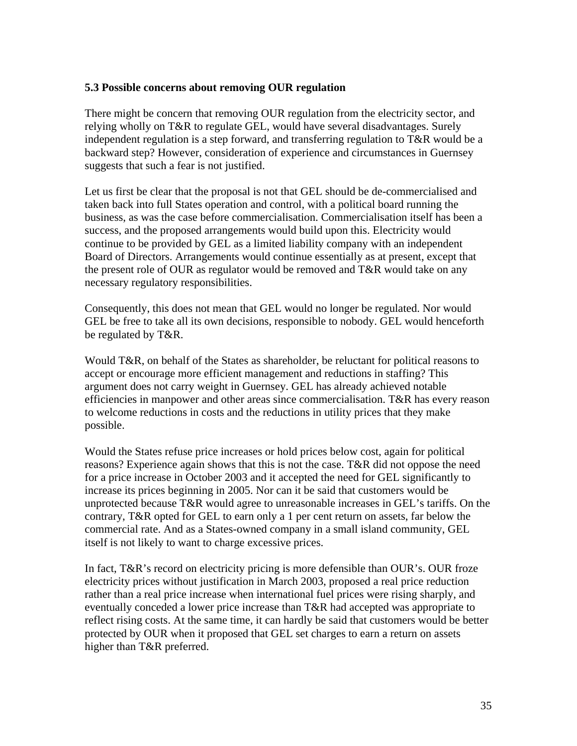### **5.3 Possible concerns about removing OUR regulation**

There might be concern that removing OUR regulation from the electricity sector, and relying wholly on T&R to regulate GEL, would have several disadvantages. Surely independent regulation is a step forward, and transferring regulation to T&R would be a backward step? However, consideration of experience and circumstances in Guernsey suggests that such a fear is not justified.

Let us first be clear that the proposal is not that GEL should be de-commercialised and taken back into full States operation and control, with a political board running the business, as was the case before commercialisation. Commercialisation itself has been a success, and the proposed arrangements would build upon this. Electricity would continue to be provided by GEL as a limited liability company with an independent Board of Directors. Arrangements would continue essentially as at present, except that the present role of OUR as regulator would be removed and T&R would take on any necessary regulatory responsibilities.

Consequently, this does not mean that GEL would no longer be regulated. Nor would GEL be free to take all its own decisions, responsible to nobody. GEL would henceforth be regulated by T&R.

Would T&R, on behalf of the States as shareholder, be reluctant for political reasons to accept or encourage more efficient management and reductions in staffing? This argument does not carry weight in Guernsey. GEL has already achieved notable efficiencies in manpower and other areas since commercialisation. T&R has every reason to welcome reductions in costs and the reductions in utility prices that they make possible.

Would the States refuse price increases or hold prices below cost, again for political reasons? Experience again shows that this is not the case. T&R did not oppose the need for a price increase in October 2003 and it accepted the need for GEL significantly to increase its prices beginning in 2005. Nor can it be said that customers would be unprotected because T&R would agree to unreasonable increases in GEL's tariffs. On the contrary, T&R opted for GEL to earn only a 1 per cent return on assets, far below the commercial rate. And as a States-owned company in a small island community, GEL itself is not likely to want to charge excessive prices.

In fact, T&R's record on electricity pricing is more defensible than OUR's. OUR froze electricity prices without justification in March 2003, proposed a real price reduction rather than a real price increase when international fuel prices were rising sharply, and eventually conceded a lower price increase than T&R had accepted was appropriate to reflect rising costs. At the same time, it can hardly be said that customers would be better protected by OUR when it proposed that GEL set charges to earn a return on assets higher than T&R preferred.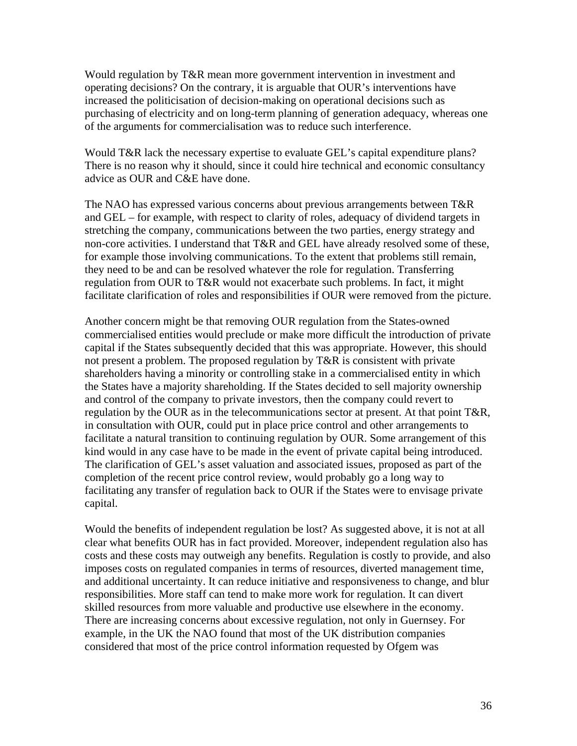Would regulation by T&R mean more government intervention in investment and operating decisions? On the contrary, it is arguable that OUR's interventions have increased the politicisation of decision-making on operational decisions such as purchasing of electricity and on long-term planning of generation adequacy, whereas one of the arguments for commercialisation was to reduce such interference.

Would T&R lack the necessary expertise to evaluate GEL's capital expenditure plans? There is no reason why it should, since it could hire technical and economic consultancy advice as OUR and C&E have done.

The NAO has expressed various concerns about previous arrangements between T&R and GEL – for example, with respect to clarity of roles, adequacy of dividend targets in stretching the company, communications between the two parties, energy strategy and non-core activities. I understand that T&R and GEL have already resolved some of these, for example those involving communications. To the extent that problems still remain, they need to be and can be resolved whatever the role for regulation. Transferring regulation from OUR to T&R would not exacerbate such problems. In fact, it might facilitate clarification of roles and responsibilities if OUR were removed from the picture.

Another concern might be that removing OUR regulation from the States-owned commercialised entities would preclude or make more difficult the introduction of private capital if the States subsequently decided that this was appropriate. However, this should not present a problem. The proposed regulation by T&R is consistent with private shareholders having a minority or controlling stake in a commercialised entity in which the States have a majority shareholding. If the States decided to sell majority ownership and control of the company to private investors, then the company could revert to regulation by the OUR as in the telecommunications sector at present. At that point T&R, in consultation with OUR, could put in place price control and other arrangements to facilitate a natural transition to continuing regulation by OUR. Some arrangement of this kind would in any case have to be made in the event of private capital being introduced. The clarification of GEL's asset valuation and associated issues, proposed as part of the completion of the recent price control review, would probably go a long way to facilitating any transfer of regulation back to OUR if the States were to envisage private capital.

Would the benefits of independent regulation be lost? As suggested above, it is not at all clear what benefits OUR has in fact provided. Moreover, independent regulation also has costs and these costs may outweigh any benefits. Regulation is costly to provide, and also imposes costs on regulated companies in terms of resources, diverted management time, and additional uncertainty. It can reduce initiative and responsiveness to change, and blur responsibilities. More staff can tend to make more work for regulation. It can divert skilled resources from more valuable and productive use elsewhere in the economy. There are increasing concerns about excessive regulation, not only in Guernsey. For example, in the UK the NAO found that most of the UK distribution companies considered that most of the price control information requested by Ofgem was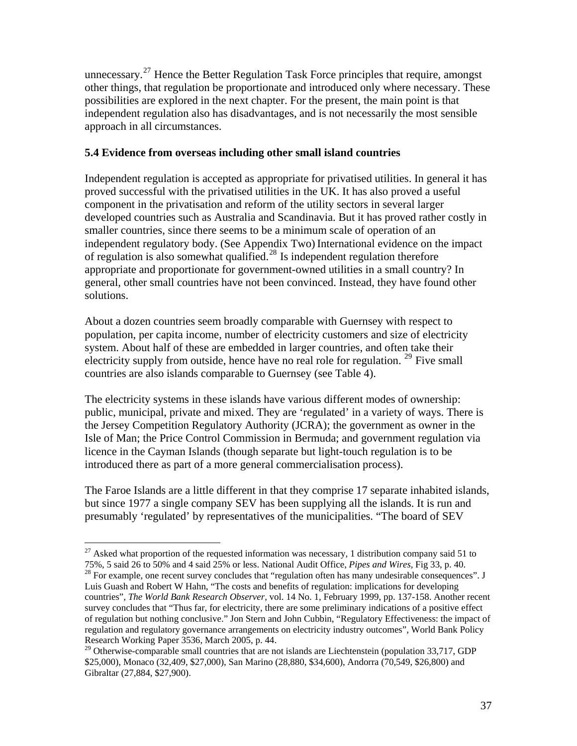unnecessary.<sup>[27](#page-36-0)</sup> Hence the Better Regulation Task Force principles that require, amongst other things, that regulation be proportionate and introduced only where necessary. These possibilities are explored in the next chapter. For the present, the main point is that independent regulation also has disadvantages, and is not necessarily the most sensible approach in all circumstances.

## **5.4 Evidence from overseas including other small island countries**

Independent regulation is accepted as appropriate for privatised utilities. In general it has proved successful with the privatised utilities in the UK. It has also proved a useful component in the privatisation and reform of the utility sectors in several larger developed countries such as Australia and Scandinavia. But it has proved rather costly in smaller countries, since there seems to be a minimum scale of operation of an independent regulatory body. (See Appendix Two) International evidence on the impact of regulation is also somewhat qualified.<sup>[28](#page-36-1)</sup> Is independent regulation therefore appropriate and proportionate for government-owned utilities in a small country? In general, other small countries have not been convinced. Instead, they have found other solutions.

About a dozen countries seem broadly comparable with Guernsey with respect to population, per capita income, number of electricity customers and size of electricity system. About half of these are embedded in larger countries, and often take their electricity supply from outside, hence have no real role for regulation.  $29$  Five small countries are also islands comparable to Guernsey (see Table 4).

The electricity systems in these islands have various different modes of ownership: public, municipal, private and mixed. They are 'regulated' in a variety of ways. There is the Jersey Competition Regulatory Authority (JCRA); the government as owner in the Isle of Man; the Price Control Commission in Bermuda; and government regulation via licence in the Cayman Islands (though separate but light-touch regulation is to be introduced there as part of a more general commercialisation process).

The Faroe Islands are a little different in that they comprise 17 separate inhabited islands, but since 1977 a single company SEV has been supplying all the islands. It is run and presumably 'regulated' by representatives of the municipalities. "The board of SEV

<span id="page-36-0"></span> $27$  Asked what proportion of the requested information was necessary, 1 distribution company said 51 to 75%, 5 said 26 to 50% and 4 said 25% or less. National Audit Office, *Pipes and Wires,* Fig 33, p. 40. 28 For example, one recent survey concludes that "regulation often has many undesirable consequences". J

<span id="page-36-1"></span>Luis Guash and Robert W Hahn, "The costs and benefits of regulation: implications for developing countries", *The World Bank Research Observer*, vol. 14 No. 1, February 1999, pp. 137-158. Another recent survey concludes that "Thus far, for electricity, there are some preliminary indications of a positive effect of regulation but nothing conclusive." Jon Stern and John Cubbin, "Regulatory Effectiveness: the impact of regulation and regulatory governance arrangements on electricity industry outcomes", World Bank Policy Research Working Paper 3536, March 2005, p. 44.

<span id="page-36-2"></span><sup>&</sup>lt;sup>29</sup> Otherwise-comparable small countries that are not islands are Liechtenstein (population 33,717, GDP \$25,000), Monaco (32,409, \$27,000), San Marino (28,880, \$34,600), Andorra (70,549, \$26,800) and Gibraltar (27,884, \$27,900).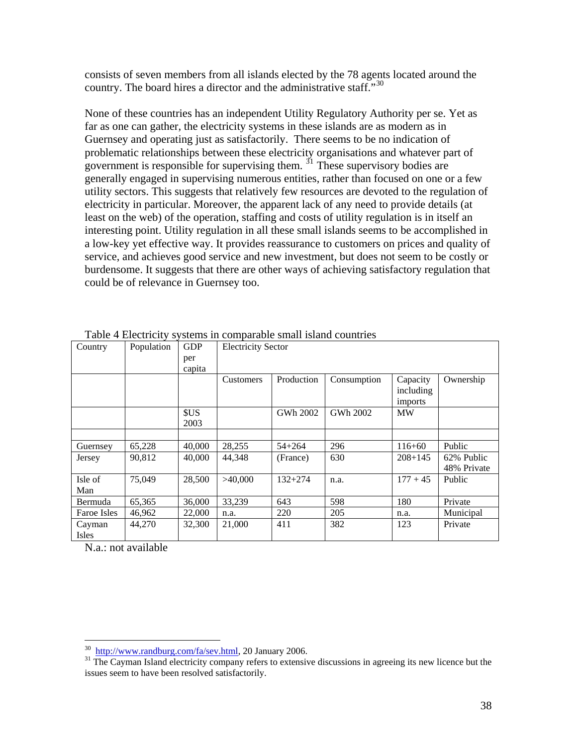consists of seven members from all islands elected by the 78 agents located around the country. The board hires a director and the administrative staff."<sup>[30](#page-37-0)</sup>

None of these countries has an independent Utility Regulatory Authority per se. Yet as far as one can gather, the electricity systems in these islands are as modern as in Guernsey and operating just as satisfactorily. There seems to be no indication of problematic relationships between these electricity organisations and whatever part of government is responsible for supervising them.  $\frac{3}{1}$  These supervisory bodies are generally engaged in supervising numerous entities, rather than focused on one or a few utility sectors. This suggests that relatively few resources are devoted to the regulation of electricity in particular. Moreover, the apparent lack of any need to provide details (at least on the web) of the operation, staffing and costs of utility regulation is in itself an interesting point. Utility regulation in all these small islands seems to be accomplished in a low-key yet effective way. It provides reassurance to customers on prices and quality of service, and achieves good service and new investment, but does not seem to be costly or burdensome. It suggests that there are other ways of achieving satisfactory regulation that could be of relevance in Guernsey too.

| Table + Electricity systems in comparable small island countiles |            |            |                           |             |             |             |             |
|------------------------------------------------------------------|------------|------------|---------------------------|-------------|-------------|-------------|-------------|
| Country                                                          | Population | <b>GDP</b> | <b>Electricity Sector</b> |             |             |             |             |
|                                                                  |            | per        |                           |             |             |             |             |
|                                                                  |            | capita     |                           |             |             |             |             |
|                                                                  |            |            | <b>Customers</b>          | Production  | Consumption | Capacity    | Ownership   |
|                                                                  |            |            |                           |             |             | including   |             |
|                                                                  |            |            |                           |             |             | imports     |             |
|                                                                  |            | <b>SUS</b> |                           | GWh 2002    | GWh 2002    | <b>MW</b>   |             |
|                                                                  |            | 2003       |                           |             |             |             |             |
|                                                                  |            |            |                           |             |             |             |             |
| Guernsey                                                         | 65,228     | 40,000     | 28,255                    | $54 + 264$  | 296         | $116 + 60$  | Public      |
| Jersey                                                           | 90,812     | 40,000     | 44,348                    | (France)    | 630         | $208 + 145$ | 62% Public  |
|                                                                  |            |            |                           |             |             |             | 48% Private |
| Isle of                                                          | 75,049     | 28,500     | >40,000                   | $132 + 274$ | n.a.        | $177 + 45$  | Public      |
| Man                                                              |            |            |                           |             |             |             |             |
| Bermuda                                                          | 65,365     | 36,000     | 33,239                    | 643         | 598         | 180         | Private     |
| Faroe Isles                                                      | 46,962     | 22,000     | n.a.                      | 220         | 205         | n.a.        | Municipal   |
| Cayman                                                           | 44,270     | 32,300     | 21,000                    | 411         | 382         | 123         | Private     |
| Isles                                                            |            |            |                           |             |             |             |             |

Table 4 Electricity systems in comparable small island countries

N.a.: not available

<span id="page-37-1"></span><span id="page-37-0"></span> $\frac{30}{31}$  [http://www.randburg.com/fa/sev.html,](http://www.randburg.com/fa/sev.html) 20 January 2006.<br><sup>31</sup> The Cayman Island electricity company refers to extensive discussions in agreeing its new licence but the issues seem to have been resolved satisfactorily.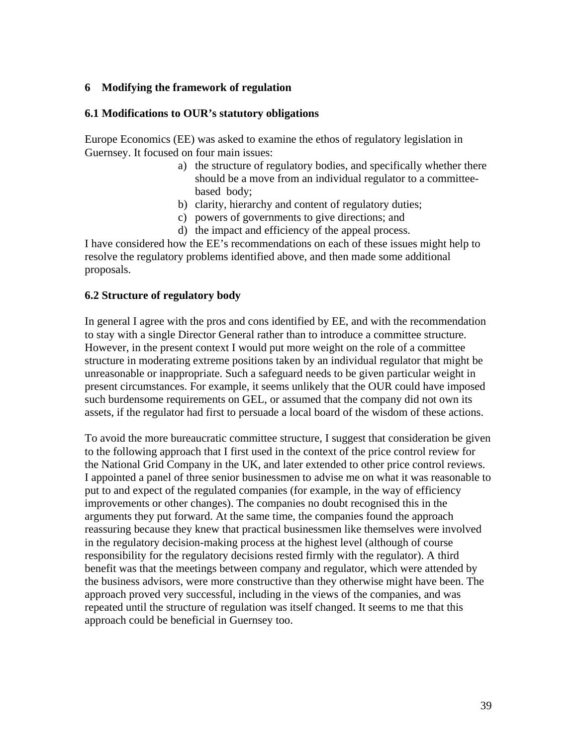### **6 Modifying the framework of regulation**

### **6.1 Modifications to OUR's statutory obligations**

Europe Economics (EE) was asked to examine the ethos of regulatory legislation in Guernsey. It focused on four main issues:

- a) the structure of regulatory bodies, and specifically whether there should be a move from an individual regulator to a committeebased body;
- b) clarity, hierarchy and content of regulatory duties;
- c) powers of governments to give directions; and
- d) the impact and efficiency of the appeal process.

I have considered how the EE's recommendations on each of these issues might help to resolve the regulatory problems identified above, and then made some additional proposals.

### **6.2 Structure of regulatory body**

In general I agree with the pros and cons identified by EE, and with the recommendation to stay with a single Director General rather than to introduce a committee structure. However, in the present context I would put more weight on the role of a committee structure in moderating extreme positions taken by an individual regulator that might be unreasonable or inappropriate. Such a safeguard needs to be given particular weight in present circumstances. For example, it seems unlikely that the OUR could have imposed such burdensome requirements on GEL, or assumed that the company did not own its assets, if the regulator had first to persuade a local board of the wisdom of these actions.

To avoid the more bureaucratic committee structure, I suggest that consideration be given to the following approach that I first used in the context of the price control review for the National Grid Company in the UK, and later extended to other price control reviews. I appointed a panel of three senior businessmen to advise me on what it was reasonable to put to and expect of the regulated companies (for example, in the way of efficiency improvements or other changes). The companies no doubt recognised this in the arguments they put forward. At the same time, the companies found the approach reassuring because they knew that practical businessmen like themselves were involved in the regulatory decision-making process at the highest level (although of course responsibility for the regulatory decisions rested firmly with the regulator). A third benefit was that the meetings between company and regulator, which were attended by the business advisors, were more constructive than they otherwise might have been. The approach proved very successful, including in the views of the companies, and was repeated until the structure of regulation was itself changed. It seems to me that this approach could be beneficial in Guernsey too.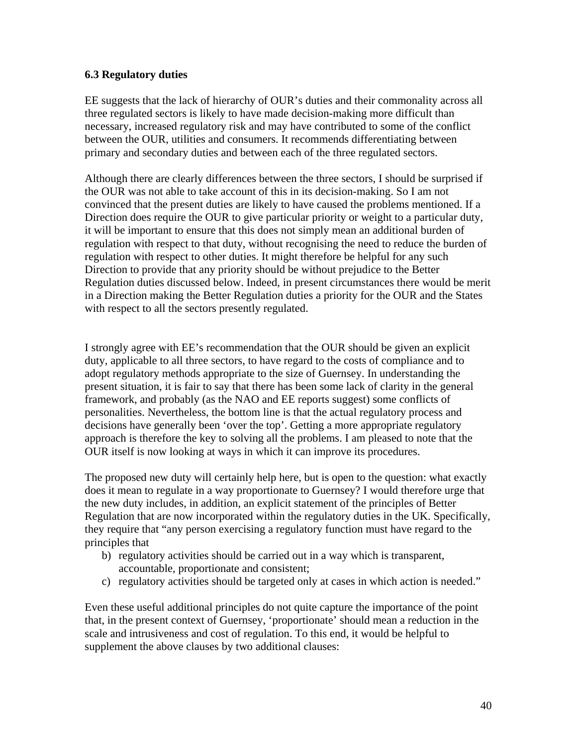## **6.3 Regulatory duties**

EE suggests that the lack of hierarchy of OUR's duties and their commonality across all three regulated sectors is likely to have made decision-making more difficult than necessary, increased regulatory risk and may have contributed to some of the conflict between the OUR, utilities and consumers. It recommends differentiating between primary and secondary duties and between each of the three regulated sectors.

Although there are clearly differences between the three sectors, I should be surprised if the OUR was not able to take account of this in its decision-making. So I am not convinced that the present duties are likely to have caused the problems mentioned. If a Direction does require the OUR to give particular priority or weight to a particular duty, it will be important to ensure that this does not simply mean an additional burden of regulation with respect to that duty, without recognising the need to reduce the burden of regulation with respect to other duties. It might therefore be helpful for any such Direction to provide that any priority should be without prejudice to the Better Regulation duties discussed below. Indeed, in present circumstances there would be merit in a Direction making the Better Regulation duties a priority for the OUR and the States with respect to all the sectors presently regulated.

I strongly agree with EE's recommendation that the OUR should be given an explicit duty, applicable to all three sectors, to have regard to the costs of compliance and to adopt regulatory methods appropriate to the size of Guernsey. In understanding the present situation, it is fair to say that there has been some lack of clarity in the general framework, and probably (as the NAO and EE reports suggest) some conflicts of personalities. Nevertheless, the bottom line is that the actual regulatory process and decisions have generally been 'over the top'. Getting a more appropriate regulatory approach is therefore the key to solving all the problems. I am pleased to note that the OUR itself is now looking at ways in which it can improve its procedures.

The proposed new duty will certainly help here, but is open to the question: what exactly does it mean to regulate in a way proportionate to Guernsey? I would therefore urge that the new duty includes, in addition, an explicit statement of the principles of Better Regulation that are now incorporated within the regulatory duties in the UK. Specifically, they require that "any person exercising a regulatory function must have regard to the principles that

- b) regulatory activities should be carried out in a way which is transparent, accountable, proportionate and consistent;
- c) regulatory activities should be targeted only at cases in which action is needed."

Even these useful additional principles do not quite capture the importance of the point that, in the present context of Guernsey, 'proportionate' should mean a reduction in the scale and intrusiveness and cost of regulation. To this end, it would be helpful to supplement the above clauses by two additional clauses: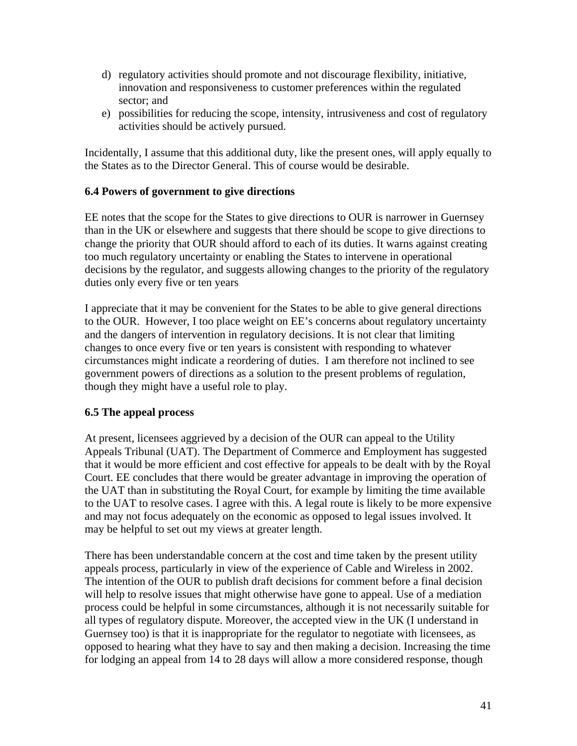- d) regulatory activities should promote and not discourage flexibility, initiative, innovation and responsiveness to customer preferences within the regulated sector; and
- e) possibilities for reducing the scope, intensity, intrusiveness and cost of regulatory activities should be actively pursued.

Incidentally, I assume that this additional duty, like the present ones, will apply equally to the States as to the Director General. This of course would be desirable.

## **6.4 Powers of government to give directions**

EE notes that the scope for the States to give directions to OUR is narrower in Guernsey than in the UK or elsewhere and suggests that there should be scope to give directions to change the priority that OUR should afford to each of its duties. It warns against creating too much regulatory uncertainty or enabling the States to intervene in operational decisions by the regulator, and suggests allowing changes to the priority of the regulatory duties only every five or ten years

I appreciate that it may be convenient for the States to be able to give general directions to the OUR. However, I too place weight on EE's concerns about regulatory uncertainty and the dangers of intervention in regulatory decisions. It is not clear that limiting changes to once every five or ten years is consistent with responding to whatever circumstances might indicate a reordering of duties. I am therefore not inclined to see government powers of directions as a solution to the present problems of regulation, though they might have a useful role to play.

#### **6.5 The appeal process**

At present, licensees aggrieved by a decision of the OUR can appeal to the Utility Appeals Tribunal (UAT). The Department of Commerce and Employment has suggested that it would be more efficient and cost effective for appeals to be dealt with by the Royal Court. EE concludes that there would be greater advantage in improving the operation of the UAT than in substituting the Royal Court, for example by limiting the time available to the UAT to resolve cases. I agree with this. A legal route is likely to be more expensive and may not focus adequately on the economic as opposed to legal issues involved. It may be helpful to set out my views at greater length.

There has been understandable concern at the cost and time taken by the present utility appeals process, particularly in view of the experience of Cable and Wireless in 2002. The intention of the OUR to publish draft decisions for comment before a final decision will help to resolve issues that might otherwise have gone to appeal. Use of a mediation process could be helpful in some circumstances, although it is not necessarily suitable for all types of regulatory dispute. Moreover, the accepted view in the UK (I understand in Guernsey too) is that it is inappropriate for the regulator to negotiate with licensees, as opposed to hearing what they have to say and then making a decision. Increasing the time for lodging an appeal from 14 to 28 days will allow a more considered response, though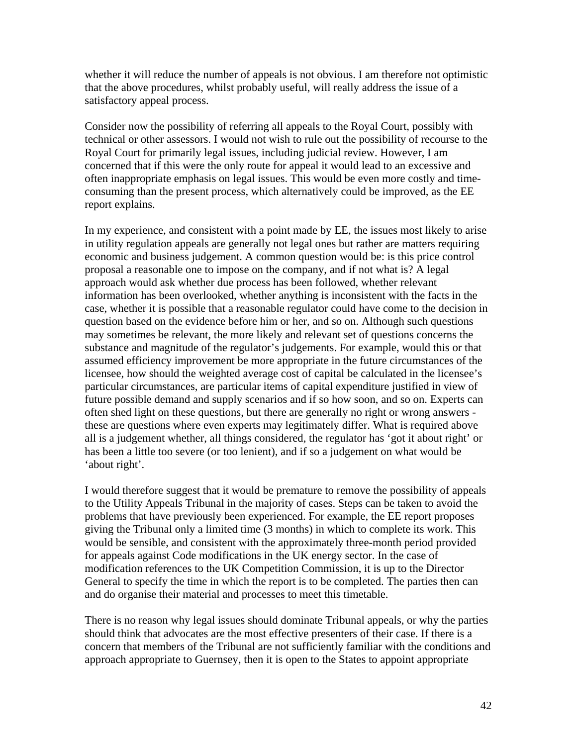whether it will reduce the number of appeals is not obvious. I am therefore not optimistic that the above procedures, whilst probably useful, will really address the issue of a satisfactory appeal process.

Consider now the possibility of referring all appeals to the Royal Court, possibly with technical or other assessors. I would not wish to rule out the possibility of recourse to the Royal Court for primarily legal issues, including judicial review. However, I am concerned that if this were the only route for appeal it would lead to an excessive and often inappropriate emphasis on legal issues. This would be even more costly and timeconsuming than the present process, which alternatively could be improved, as the EE report explains.

In my experience, and consistent with a point made by EE, the issues most likely to arise in utility regulation appeals are generally not legal ones but rather are matters requiring economic and business judgement. A common question would be: is this price control proposal a reasonable one to impose on the company, and if not what is? A legal approach would ask whether due process has been followed, whether relevant information has been overlooked, whether anything is inconsistent with the facts in the case, whether it is possible that a reasonable regulator could have come to the decision in question based on the evidence before him or her, and so on. Although such questions may sometimes be relevant, the more likely and relevant set of questions concerns the substance and magnitude of the regulator's judgements. For example, would this or that assumed efficiency improvement be more appropriate in the future circumstances of the licensee, how should the weighted average cost of capital be calculated in the licensee's particular circumstances, are particular items of capital expenditure justified in view of future possible demand and supply scenarios and if so how soon, and so on. Experts can often shed light on these questions, but there are generally no right or wrong answers these are questions where even experts may legitimately differ. What is required above all is a judgement whether, all things considered, the regulator has 'got it about right' or has been a little too severe (or too lenient), and if so a judgement on what would be 'about right'.

I would therefore suggest that it would be premature to remove the possibility of appeals to the Utility Appeals Tribunal in the majority of cases. Steps can be taken to avoid the problems that have previously been experienced. For example, the EE report proposes giving the Tribunal only a limited time (3 months) in which to complete its work. This would be sensible, and consistent with the approximately three-month period provided for appeals against Code modifications in the UK energy sector. In the case of modification references to the UK Competition Commission, it is up to the Director General to specify the time in which the report is to be completed. The parties then can and do organise their material and processes to meet this timetable.

There is no reason why legal issues should dominate Tribunal appeals, or why the parties should think that advocates are the most effective presenters of their case. If there is a concern that members of the Tribunal are not sufficiently familiar with the conditions and approach appropriate to Guernsey, then it is open to the States to appoint appropriate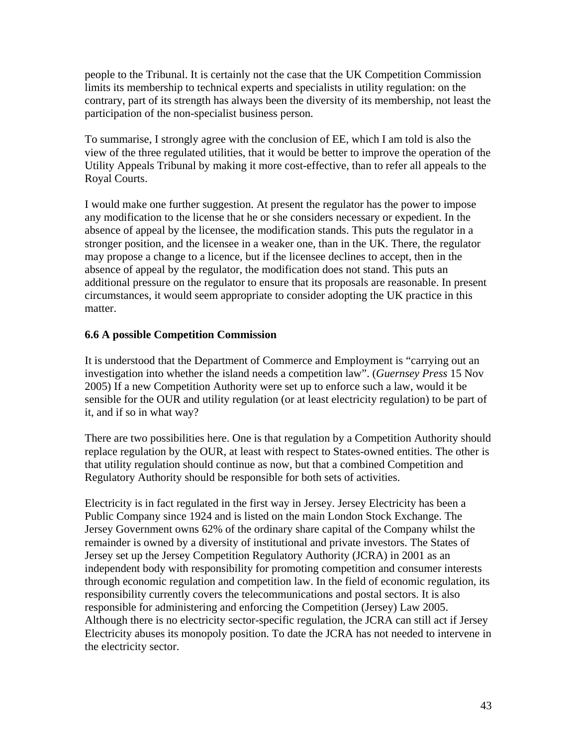people to the Tribunal. It is certainly not the case that the UK Competition Commission limits its membership to technical experts and specialists in utility regulation: on the contrary, part of its strength has always been the diversity of its membership, not least the participation of the non-specialist business person.

To summarise, I strongly agree with the conclusion of EE, which I am told is also the view of the three regulated utilities, that it would be better to improve the operation of the Utility Appeals Tribunal by making it more cost-effective, than to refer all appeals to the Royal Courts.

I would make one further suggestion. At present the regulator has the power to impose any modification to the license that he or she considers necessary or expedient. In the absence of appeal by the licensee, the modification stands. This puts the regulator in a stronger position, and the licensee in a weaker one, than in the UK. There, the regulator may propose a change to a licence, but if the licensee declines to accept, then in the absence of appeal by the regulator, the modification does not stand. This puts an additional pressure on the regulator to ensure that its proposals are reasonable. In present circumstances, it would seem appropriate to consider adopting the UK practice in this matter.

## **6.6 A possible Competition Commission**

It is understood that the Department of Commerce and Employment is "carrying out an investigation into whether the island needs a competition law". (*Guernsey Press* 15 Nov 2005) If a new Competition Authority were set up to enforce such a law, would it be sensible for the OUR and utility regulation (or at least electricity regulation) to be part of it, and if so in what way?

There are two possibilities here. One is that regulation by a Competition Authority should replace regulation by the OUR, at least with respect to States-owned entities. The other is that utility regulation should continue as now, but that a combined Competition and Regulatory Authority should be responsible for both sets of activities.

Electricity is in fact regulated in the first way in Jersey. Jersey Electricity has been a Public Company since 1924 and is listed on the main London Stock Exchange. The Jersey Government owns 62% of the ordinary share capital of the Company whilst the remainder is owned by a diversity of institutional and private investors. The States of Jersey set up the Jersey Competition Regulatory Authority (JCRA) in 2001 as an independent body with responsibility for promoting competition and consumer interests through economic regulation and competition law. In the field of economic regulation, its responsibility currently covers the telecommunications and postal sectors. It is also responsible for administering and enforcing the Competition (Jersey) Law 2005. Although there is no electricity sector-specific regulation, the JCRA can still act if Jersey Electricity abuses its monopoly position. To date the JCRA has not needed to intervene in the electricity sector.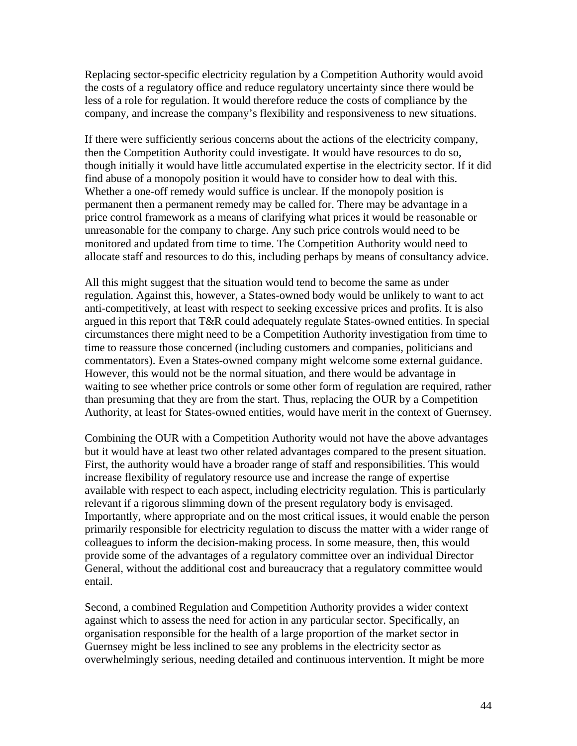Replacing sector-specific electricity regulation by a Competition Authority would avoid the costs of a regulatory office and reduce regulatory uncertainty since there would be less of a role for regulation. It would therefore reduce the costs of compliance by the company, and increase the company's flexibility and responsiveness to new situations.

If there were sufficiently serious concerns about the actions of the electricity company, then the Competition Authority could investigate. It would have resources to do so, though initially it would have little accumulated expertise in the electricity sector. If it did find abuse of a monopoly position it would have to consider how to deal with this. Whether a one-off remedy would suffice is unclear. If the monopoly position is permanent then a permanent remedy may be called for. There may be advantage in a price control framework as a means of clarifying what prices it would be reasonable or unreasonable for the company to charge. Any such price controls would need to be monitored and updated from time to time. The Competition Authority would need to allocate staff and resources to do this, including perhaps by means of consultancy advice.

All this might suggest that the situation would tend to become the same as under regulation. Against this, however, a States-owned body would be unlikely to want to act anti-competitively, at least with respect to seeking excessive prices and profits. It is also argued in this report that T&R could adequately regulate States-owned entities. In special circumstances there might need to be a Competition Authority investigation from time to time to reassure those concerned (including customers and companies, politicians and commentators). Even a States-owned company might welcome some external guidance. However, this would not be the normal situation, and there would be advantage in waiting to see whether price controls or some other form of regulation are required, rather than presuming that they are from the start. Thus, replacing the OUR by a Competition Authority, at least for States-owned entities, would have merit in the context of Guernsey.

Combining the OUR with a Competition Authority would not have the above advantages but it would have at least two other related advantages compared to the present situation. First, the authority would have a broader range of staff and responsibilities. This would increase flexibility of regulatory resource use and increase the range of expertise available with respect to each aspect, including electricity regulation. This is particularly relevant if a rigorous slimming down of the present regulatory body is envisaged. Importantly, where appropriate and on the most critical issues, it would enable the person primarily responsible for electricity regulation to discuss the matter with a wider range of colleagues to inform the decision-making process. In some measure, then, this would provide some of the advantages of a regulatory committee over an individual Director General, without the additional cost and bureaucracy that a regulatory committee would entail.

Second, a combined Regulation and Competition Authority provides a wider context against which to assess the need for action in any particular sector. Specifically, an organisation responsible for the health of a large proportion of the market sector in Guernsey might be less inclined to see any problems in the electricity sector as overwhelmingly serious, needing detailed and continuous intervention. It might be more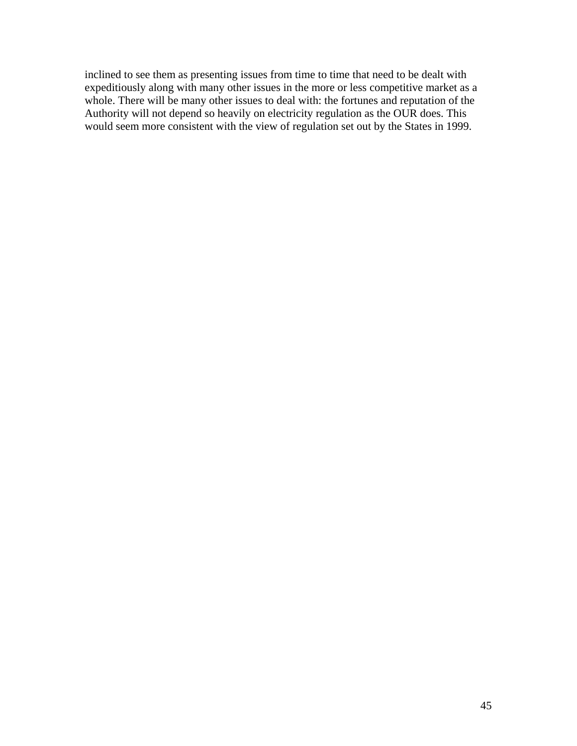inclined to see them as presenting issues from time to time that need to be dealt with expeditiously along with many other issues in the more or less competitive market as a whole. There will be many other issues to deal with: the fortunes and reputation of the Authority will not depend so heavily on electricity regulation as the OUR does. This would seem more consistent with the view of regulation set out by the States in 1999.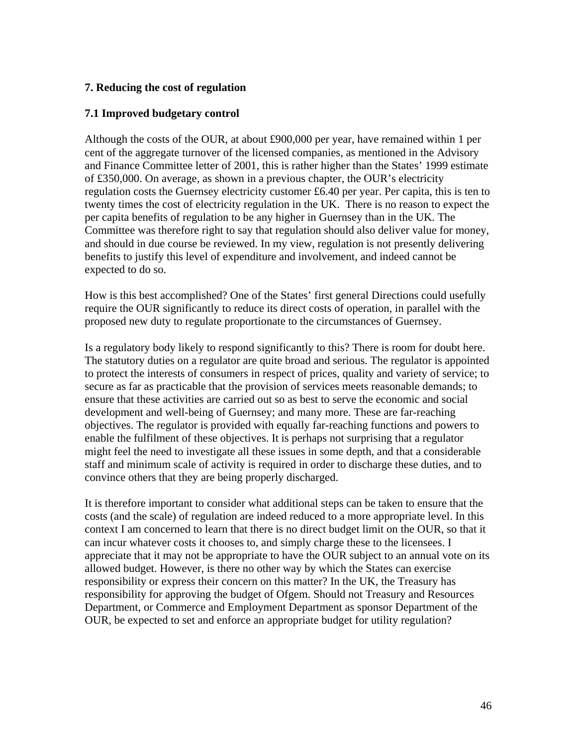## **7. Reducing the cost of regulation**

### **7.1 Improved budgetary control**

Although the costs of the OUR, at about £900,000 per year, have remained within 1 per cent of the aggregate turnover of the licensed companies, as mentioned in the Advisory and Finance Committee letter of 2001, this is rather higher than the States' 1999 estimate of £350,000. On average, as shown in a previous chapter, the OUR's electricity regulation costs the Guernsey electricity customer £6.40 per year. Per capita, this is ten to twenty times the cost of electricity regulation in the UK. There is no reason to expect the per capita benefits of regulation to be any higher in Guernsey than in the UK. The Committee was therefore right to say that regulation should also deliver value for money, and should in due course be reviewed. In my view, regulation is not presently delivering benefits to justify this level of expenditure and involvement, and indeed cannot be expected to do so.

How is this best accomplished? One of the States' first general Directions could usefully require the OUR significantly to reduce its direct costs of operation, in parallel with the proposed new duty to regulate proportionate to the circumstances of Guernsey.

Is a regulatory body likely to respond significantly to this? There is room for doubt here. The statutory duties on a regulator are quite broad and serious. The regulator is appointed to protect the interests of consumers in respect of prices, quality and variety of service; to secure as far as practicable that the provision of services meets reasonable demands; to ensure that these activities are carried out so as best to serve the economic and social development and well-being of Guernsey; and many more. These are far-reaching objectives. The regulator is provided with equally far-reaching functions and powers to enable the fulfilment of these objectives. It is perhaps not surprising that a regulator might feel the need to investigate all these issues in some depth, and that a considerable staff and minimum scale of activity is required in order to discharge these duties, and to convince others that they are being properly discharged.

It is therefore important to consider what additional steps can be taken to ensure that the costs (and the scale) of regulation are indeed reduced to a more appropriate level. In this context I am concerned to learn that there is no direct budget limit on the OUR, so that it can incur whatever costs it chooses to, and simply charge these to the licensees. I appreciate that it may not be appropriate to have the OUR subject to an annual vote on its allowed budget. However, is there no other way by which the States can exercise responsibility or express their concern on this matter? In the UK, the Treasury has responsibility for approving the budget of Ofgem. Should not Treasury and Resources Department, or Commerce and Employment Department as sponsor Department of the OUR, be expected to set and enforce an appropriate budget for utility regulation?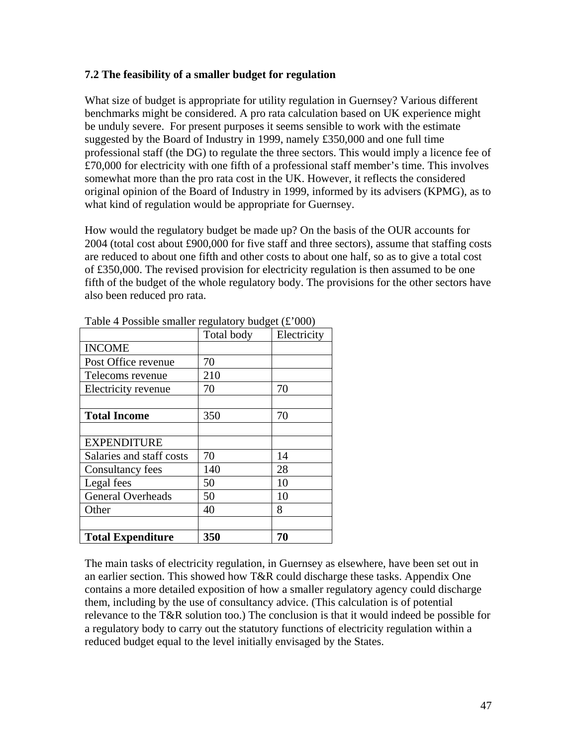## **7.2 The feasibility of a smaller budget for regulation**

What size of budget is appropriate for utility regulation in Guernsey? Various different benchmarks might be considered. A pro rata calculation based on UK experience might be unduly severe. For present purposes it seems sensible to work with the estimate suggested by the Board of Industry in 1999, namely £350,000 and one full time professional staff (the DG) to regulate the three sectors. This would imply a licence fee of £70,000 for electricity with one fifth of a professional staff member's time. This involves somewhat more than the pro rata cost in the UK. However, it reflects the considered original opinion of the Board of Industry in 1999, informed by its advisers (KPMG), as to what kind of regulation would be appropriate for Guernsey.

How would the regulatory budget be made up? On the basis of the OUR accounts for 2004 (total cost about £900,000 for five staff and three sectors), assume that staffing costs are reduced to about one fifth and other costs to about one half, so as to give a total cost of £350,000. The revised provision for electricity regulation is then assumed to be one fifth of the budget of the whole regulatory body. The provisions for the other sectors have also been reduced pro rata.

|                          | Total body | Electricity |
|--------------------------|------------|-------------|
| <b>INCOME</b>            |            |             |
| Post Office revenue      | 70         |             |
| Telecoms revenue         | 210        |             |
| Electricity revenue      | 70         | 70          |
|                          |            |             |
| <b>Total Income</b>      | 350        | 70          |
|                          |            |             |
| <b>EXPENDITURE</b>       |            |             |
| Salaries and staff costs | 70         | 14          |
| <b>Consultancy fees</b>  | 140        | 28          |
| Legal fees               | 50         | 10          |
| <b>General Overheads</b> | 50         | 10          |
| Other                    | 40         | 8           |
|                          |            |             |
| <b>Total Expenditure</b> | 350        | 70          |

Table 4 Possible smaller regulatory budget  $(\text{\pounds}^2000)$ 

The main tasks of electricity regulation, in Guernsey as elsewhere, have been set out in an earlier section. This showed how T&R could discharge these tasks. Appendix One contains a more detailed exposition of how a smaller regulatory agency could discharge them, including by the use of consultancy advice. (This calculation is of potential relevance to the T&R solution too.) The conclusion is that it would indeed be possible for a regulatory body to carry out the statutory functions of electricity regulation within a reduced budget equal to the level initially envisaged by the States.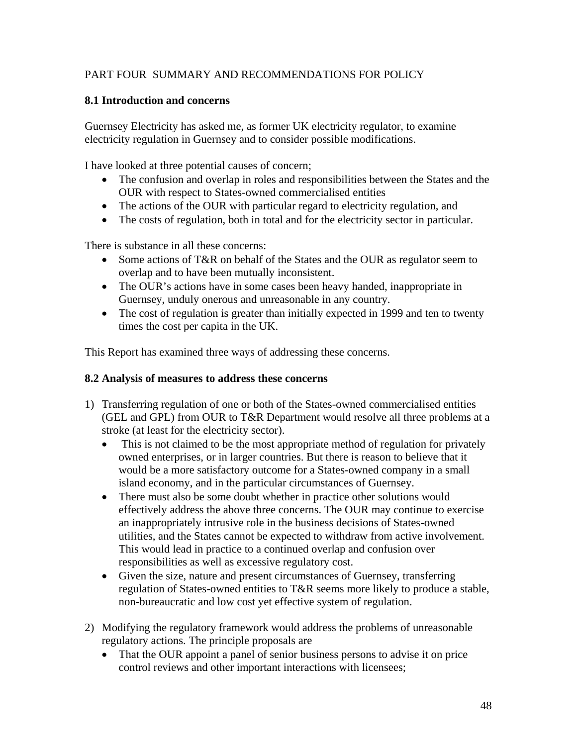# PART FOUR SUMMARY AND RECOMMENDATIONS FOR POLICY

## **8.1 Introduction and concerns**

Guernsey Electricity has asked me, as former UK electricity regulator, to examine electricity regulation in Guernsey and to consider possible modifications.

I have looked at three potential causes of concern;

- The confusion and overlap in roles and responsibilities between the States and the OUR with respect to States-owned commercialised entities
- The actions of the OUR with particular regard to electricity regulation, and
- The costs of regulation, both in total and for the electricity sector in particular.

There is substance in all these concerns:

- Some actions of T&R on behalf of the States and the OUR as regulator seem to overlap and to have been mutually inconsistent.
- The OUR's actions have in some cases been heavy handed, inappropriate in Guernsey, unduly onerous and unreasonable in any country.
- The cost of regulation is greater than initially expected in 1999 and ten to twenty times the cost per capita in the UK.

This Report has examined three ways of addressing these concerns.

#### **8.2 Analysis of measures to address these concerns**

- 1) Transferring regulation of one or both of the States-owned commercialised entities (GEL and GPL) from OUR to T&R Department would resolve all three problems at a stroke (at least for the electricity sector).
	- This is not claimed to be the most appropriate method of regulation for privately owned enterprises, or in larger countries. But there is reason to believe that it would be a more satisfactory outcome for a States-owned company in a small island economy, and in the particular circumstances of Guernsey.
	- There must also be some doubt whether in practice other solutions would effectively address the above three concerns. The OUR may continue to exercise an inappropriately intrusive role in the business decisions of States-owned utilities, and the States cannot be expected to withdraw from active involvement. This would lead in practice to a continued overlap and confusion over responsibilities as well as excessive regulatory cost.
	- Given the size, nature and present circumstances of Guernsey, transferring regulation of States-owned entities to T&R seems more likely to produce a stable, non-bureaucratic and low cost yet effective system of regulation.
- 2) Modifying the regulatory framework would address the problems of unreasonable regulatory actions. The principle proposals are
	- That the OUR appoint a panel of senior business persons to advise it on price control reviews and other important interactions with licensees;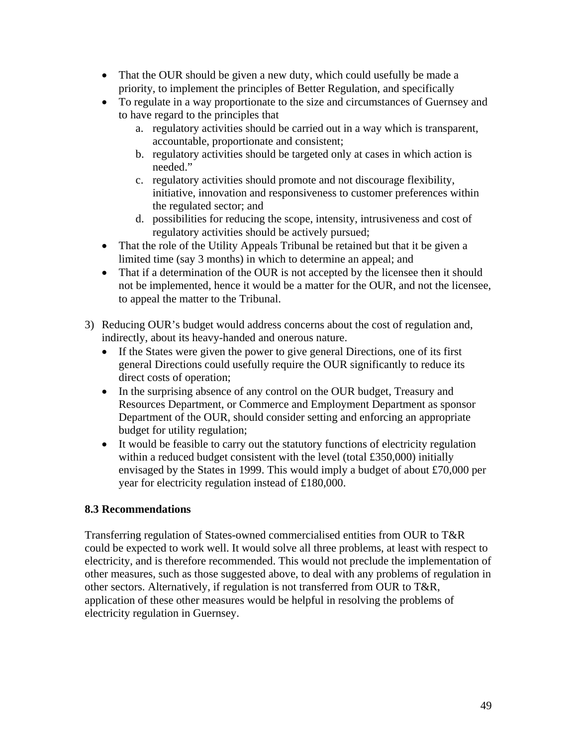- That the OUR should be given a new duty, which could usefully be made a priority, to implement the principles of Better Regulation, and specifically
- To regulate in a way proportionate to the size and circumstances of Guernsey and to have regard to the principles that
	- a. regulatory activities should be carried out in a way which is transparent, accountable, proportionate and consistent;
	- b. regulatory activities should be targeted only at cases in which action is needed."
	- c. regulatory activities should promote and not discourage flexibility, initiative, innovation and responsiveness to customer preferences within the regulated sector; and
	- d. possibilities for reducing the scope, intensity, intrusiveness and cost of regulatory activities should be actively pursued;
- That the role of the Utility Appeals Tribunal be retained but that it be given a limited time (say 3 months) in which to determine an appeal; and
- That if a determination of the OUR is not accepted by the licensee then it should not be implemented, hence it would be a matter for the OUR, and not the licensee, to appeal the matter to the Tribunal.
- 3) Reducing OUR's budget would address concerns about the cost of regulation and, indirectly, about its heavy-handed and onerous nature.
	- If the States were given the power to give general Directions, one of its first general Directions could usefully require the OUR significantly to reduce its direct costs of operation;
	- In the surprising absence of any control on the OUR budget, Treasury and Resources Department, or Commerce and Employment Department as sponsor Department of the OUR, should consider setting and enforcing an appropriate budget for utility regulation;
	- It would be feasible to carry out the statutory functions of electricity regulation within a reduced budget consistent with the level (total £350,000) initially envisaged by the States in 1999. This would imply a budget of about £70,000 per year for electricity regulation instead of £180,000.

# **8.3 Recommendations**

Transferring regulation of States-owned commercialised entities from OUR to T&R could be expected to work well. It would solve all three problems, at least with respect to electricity, and is therefore recommended. This would not preclude the implementation of other measures, such as those suggested above, to deal with any problems of regulation in other sectors. Alternatively, if regulation is not transferred from OUR to T&R, application of these other measures would be helpful in resolving the problems of electricity regulation in Guernsey.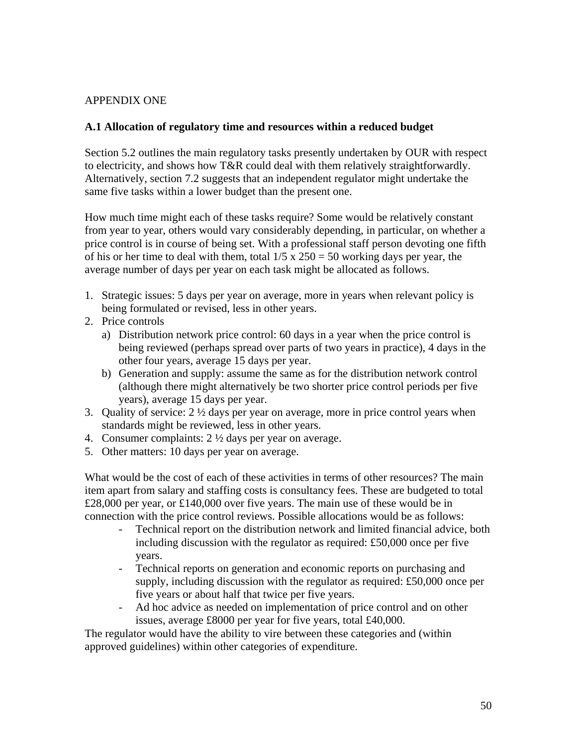## APPENDIX ONE

## **A.1 Allocation of regulatory time and resources within a reduced budget**

Section 5.2 outlines the main regulatory tasks presently undertaken by OUR with respect to electricity, and shows how T&R could deal with them relatively straightforwardly. Alternatively, section 7.2 suggests that an independent regulator might undertake the same five tasks within a lower budget than the present one.

How much time might each of these tasks require? Some would be relatively constant from year to year, others would vary considerably depending, in particular, on whether a price control is in course of being set. With a professional staff person devoting one fifth of his or her time to deal with them, total  $1/5 \times 250 = 50$  working days per year, the average number of days per year on each task might be allocated as follows.

- 1. Strategic issues: 5 days per year on average, more in years when relevant policy is being formulated or revised, less in other years.
- 2. Price controls
	- a) Distribution network price control: 60 days in a year when the price control is being reviewed (perhaps spread over parts of two years in practice), 4 days in the other four years, average 15 days per year.
	- b) Generation and supply: assume the same as for the distribution network control (although there might alternatively be two shorter price control periods per five years), average 15 days per year.
- 3. Quality of service:  $2 \frac{1}{2}$  days per year on average, more in price control years when standards might be reviewed, less in other years.
- 4. Consumer complaints: 2 ½ days per year on average.
- 5. Other matters: 10 days per year on average.

What would be the cost of each of these activities in terms of other resources? The main item apart from salary and staffing costs is consultancy fees. These are budgeted to total £28,000 per year, or £140,000 over five years. The main use of these would be in connection with the price control reviews. Possible allocations would be as follows:

- Technical report on the distribution network and limited financial advice, both including discussion with the regulator as required: £50,000 once per five years.
- Technical reports on generation and economic reports on purchasing and supply, including discussion with the regulator as required: £50,000 once per five years or about half that twice per five years.
- Ad hoc advice as needed on implementation of price control and on other issues, average £8000 per year for five years, total £40,000.

The regulator would have the ability to vire between these categories and (within approved guidelines) within other categories of expenditure.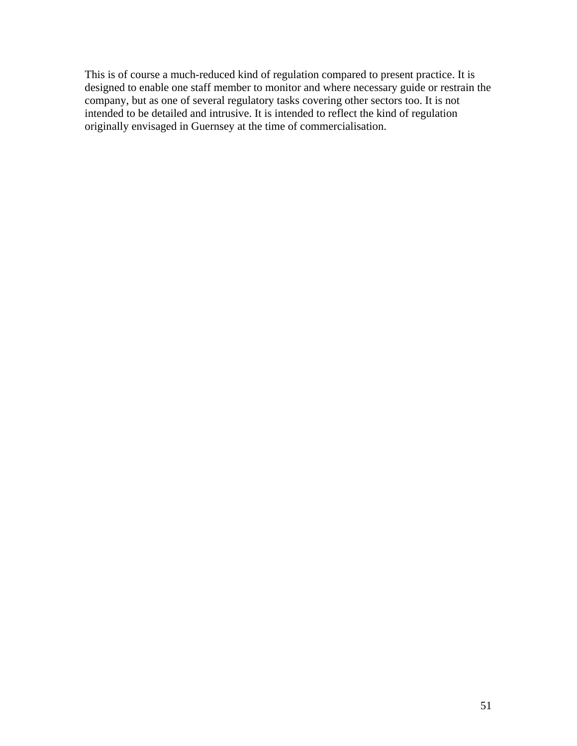This is of course a much-reduced kind of regulation compared to present practice. It is designed to enable one staff member to monitor and where necessary guide or restrain the company, but as one of several regulatory tasks covering other sectors too. It is not intended to be detailed and intrusive. It is intended to reflect the kind of regulation originally envisaged in Guernsey at the time of commercialisation.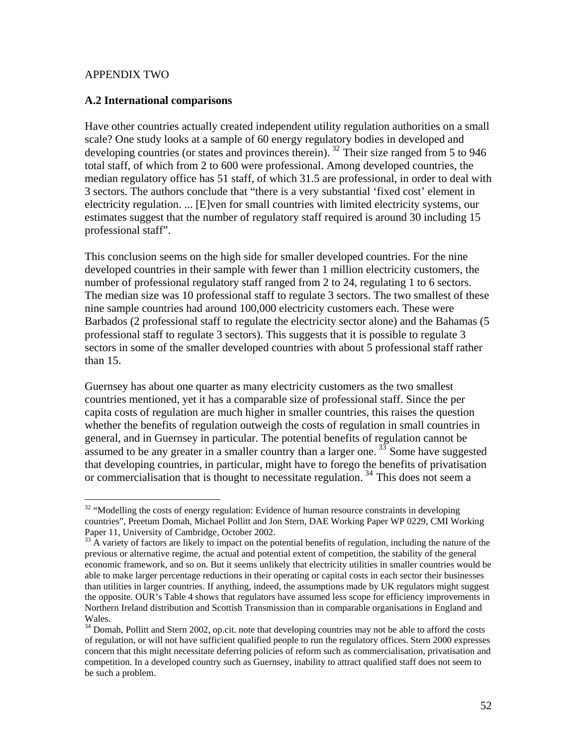#### APPENDIX TWO

#### **A.2 International comparisons**

Have other countries actually created independent utility regulation authorities on a small scale? One study looks at a sample of 60 energy regulatory bodies in developed and developing countries (or states and provinces therein). <sup>[32](#page-51-0)</sup> Their size ranged from 5 to 946 total staff, of which from 2 to 600 were professional. Among developed countries, the median regulatory office has 51 staff, of which 31.5 are professional, in order to deal with 3 sectors. The authors conclude that "there is a very substantial 'fixed cost' element in electricity regulation. ... [E]ven for small countries with limited electricity systems, our estimates suggest that the number of regulatory staff required is around 30 including 15 professional staff".

This conclusion seems on the high side for smaller developed countries. For the nine developed countries in their sample with fewer than 1 million electricity customers, the number of professional regulatory staff ranged from 2 to 24, regulating 1 to 6 sectors. The median size was 10 professional staff to regulate 3 sectors. The two smallest of these nine sample countries had around 100,000 electricity customers each. These were Barbados (2 professional staff to regulate the electricity sector alone) and the Bahamas (5 professional staff to regulate 3 sectors). This suggests that it is possible to regulate 3 sectors in some of the smaller developed countries with about 5 professional staff rather than 15.

Guernsey has about one quarter as many electricity customers as the two smallest countries mentioned, yet it has a comparable size of professional staff. Since the per capita costs of regulation are much higher in smaller countries, this raises the question whether the benefits of regulation outweigh the costs of regulation in small countries in general, and in Guernsey in particular. The potential benefits of regulation cannot be assumed to be any greater in a smaller country than a larger one.  $33\overline{3}$  $33\overline{3}$  Some have suggested that developing countries, in particular, might have to forego the benefits of privatisation or commercialisation that is thought to necessitate regulation.  $34$  This does not seem a

<span id="page-51-0"></span> $\overline{a}$  $32$  "Modelling the costs of energy regulation: Evidence of human resource constraints in developing countries", Preetum Domah, Michael Pollitt and Jon Stern, DAE Working Paper WP 0229, CMI Working Paper 11, University of Cambridge, October 2002.

<span id="page-51-1"></span><sup>&</sup>lt;sup>33</sup> A variety of factors are likely to impact on the potential benefits of regulation, including the nature of the previous or alternative regime, the actual and potential extent of competition, the stability of the general economic framework, and so on. But it seems unlikely that electricity utilities in smaller countries would be able to make larger percentage reductions in their operating or capital costs in each sector their businesses than utilities in larger countries. If anything, indeed, the assumptions made by UK regulators might suggest the opposite. OUR's Table 4 shows that regulators have assumed less scope for efficiency improvements in Northern Ireland distribution and Scottish Transmission than in comparable organisations in England and Wales.

<span id="page-51-2"></span><sup>&</sup>lt;sup>34</sup> Domah, Pollitt and Stern 2002, op.cit. note that developing countries may not be able to afford the costs of regulation, or will not have sufficient qualified people to run the regulatory offices. Stern 2000 expresses concern that this might necessitate deferring policies of reform such as commercialisation, privatisation and competition. In a developed country such as Guernsey, inability to attract qualified staff does not seem to be such a problem.